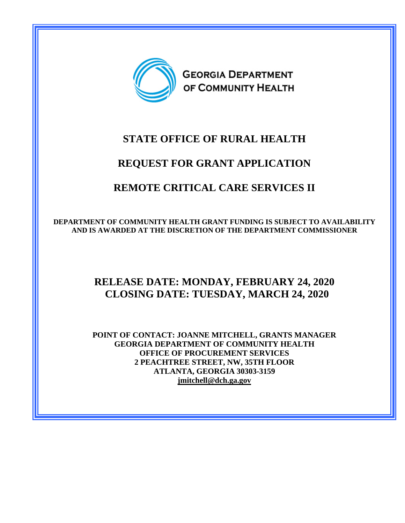

# **STATE OFFICE OF RURAL HEALTH**

# **REQUEST FOR GRANT APPLICATION**

# **REMOTE CRITICAL CARE SERVICES II**

**DEPARTMENT OF COMMUNITY HEALTH GRANT FUNDING IS SUBJECT TO AVAILABILITY AND IS AWARDED AT THE DISCRETION OF THE DEPARTMENT COMMISSIONER** 

# **RELEASE DATE: MONDAY, FEBRUARY 24, 2020 CLOSING DATE: TUESDAY, MARCH 24, 2020**

**POINT OF CONTACT: JOANNE MITCHELL, GRANTS MANAGER GEORGIA DEPARTMENT OF COMMUNITY HEALTH OFFICE OF PROCUREMENT SERVICES 2 PEACHTREE STREET, NW, 35TH FLOOR ATLANTA, GEORGIA 30303-3159 [jmitchell@dch.ga.gov](mailto:jmitchell@dch.ga.gov)**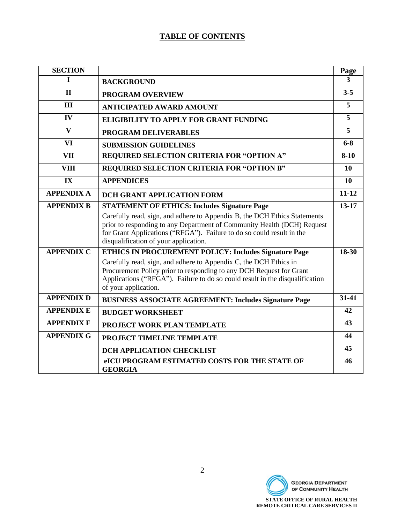# **TABLE OF CONTENTS**

| <b>SECTION</b>    |                                                                                                                                                                                                                                                                        | Page           |
|-------------------|------------------------------------------------------------------------------------------------------------------------------------------------------------------------------------------------------------------------------------------------------------------------|----------------|
| T                 | <b>BACKGROUND</b>                                                                                                                                                                                                                                                      | 3              |
| $\mathbf{I}$      | <b>PROGRAM OVERVIEW</b>                                                                                                                                                                                                                                                | $3 - 5$        |
| III               | <b>ANTICIPATED AWARD AMOUNT</b>                                                                                                                                                                                                                                        | 5              |
| IV                | <b>ELIGIBILITY TO APPLY FOR GRANT FUNDING</b>                                                                                                                                                                                                                          | $\overline{5}$ |
| $\mathbf{V}$      | PROGRAM DELIVERABLES                                                                                                                                                                                                                                                   | 5              |
| <b>VI</b>         | <b>SUBMISSION GUIDELINES</b>                                                                                                                                                                                                                                           | $6 - 8$        |
| <b>VII</b>        | REQUIRED SELECTION CRITERIA FOR "OPTION A"                                                                                                                                                                                                                             | $8 - 10$       |
| <b>VIII</b>       | REQUIRED SELECTION CRITERIA FOR "OPTION B"                                                                                                                                                                                                                             | 10             |
| IX                | <b>APPENDICES</b>                                                                                                                                                                                                                                                      | 10             |
| <b>APPENDIX A</b> | <b>DCH GRANT APPLICATION FORM</b>                                                                                                                                                                                                                                      | $11 - 12$      |
| <b>APPENDIX B</b> | <b>STATEMENT OF ETHICS: Includes Signature Page</b>                                                                                                                                                                                                                    | $13 - 17$      |
|                   | Carefully read, sign, and adhere to Appendix B, the DCH Ethics Statements<br>prior to responding to any Department of Community Health (DCH) Request<br>for Grant Applications ("RFGA"). Failure to do so could result in the<br>disqualification of your application. |                |
| <b>APPENDIX C</b> | <b>ETHICS IN PROCUREMENT POLICY: Includes Signature Page</b>                                                                                                                                                                                                           | 18-30          |
|                   | Carefully read, sign, and adhere to Appendix C, the DCH Ethics in<br>Procurement Policy prior to responding to any DCH Request for Grant<br>Applications ("RFGA"). Failure to do so could result in the disqualification<br>of your application.                       |                |
| <b>APPENDIX D</b> | <b>BUSINESS ASSOCIATE AGREEMENT: Includes Signature Page</b>                                                                                                                                                                                                           | $31 - 41$      |
| <b>APPENDIX E</b> | <b>BUDGET WORKSHEET</b>                                                                                                                                                                                                                                                | 42             |
| <b>APPENDIX F</b> | PROJECT WORK PLAN TEMPLATE                                                                                                                                                                                                                                             | 43             |
| <b>APPENDIX G</b> | PROJECT TIMELINE TEMPLATE                                                                                                                                                                                                                                              | 44             |
|                   | DCH APPLICATION CHECKLIST                                                                                                                                                                                                                                              | 45             |
|                   | eICU PROGRAM ESTIMATED COSTS FOR THE STATE OF<br><b>GEORGIA</b>                                                                                                                                                                                                        | 46             |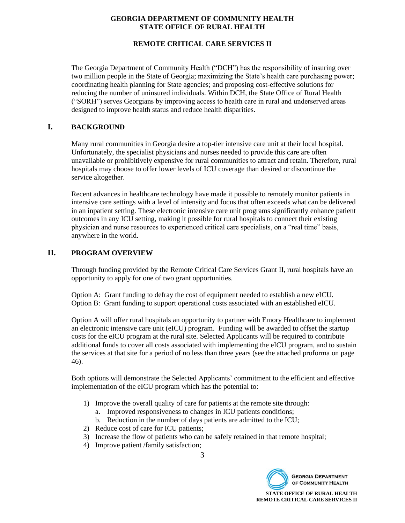# **REMOTE CRITICAL CARE SERVICES II**

The Georgia Department of Community Health ("DCH") has the responsibility of insuring over two million people in the State of Georgia; maximizing the State's health care purchasing power; coordinating health planning for State agencies; and proposing cost-effective solutions for reducing the number of uninsured individuals. Within DCH, the State Office of Rural Health ("SORH") serves Georgians by improving access to health care in rural and underserved areas designed to improve health status and reduce health disparities.

# **I. BACKGROUND**

Many rural communities in Georgia desire a top-tier intensive care unit at their local hospital. Unfortunately, the specialist physicians and nurses needed to provide this care are often unavailable or prohibitively expensive for rural communities to attract and retain. Therefore, rural hospitals may choose to offer lower levels of ICU coverage than desired or discontinue the service altogether.

Recent advances in healthcare technology have made it possible to remotely monitor patients in intensive care settings with a level of intensity and focus that often exceeds what can be delivered in an inpatient setting. These electronic intensive care unit programs significantly enhance patient outcomes in any ICU setting, making it possible for rural hospitals to connect their existing physician and nurse resources to experienced critical care specialists, on a "real time" basis, anywhere in the world.

# **II. PROGRAM OVERVIEW**

Through funding provided by the Remote Critical Care Services Grant II, rural hospitals have an opportunity to apply for one of two grant opportunities.

Option A: Grant funding to defray the cost of equipment needed to establish a new eICU. Option B: Grant funding to support operational costs associated with an established eICU.

Option A will offer rural hospitals an opportunity to partner with Emory Healthcare to implement an electronic intensive care unit (eICU) program. Funding will be awarded to offset the startup costs for the eICU program at the rural site. Selected Applicants will be required to contribute additional funds to cover all costs associated with implementing the eICU program, and to sustain the services at that site for a period of no less than three years (see the attached proforma on page 46).

Both options will demonstrate the Selected Applicants' commitment to the efficient and effective implementation of the eICU program which has the potential to:

- 1) Improve the overall quality of care for patients at the remote site through:
	- a. Improved responsiveness to changes in ICU patients conditions;
	- b. Reduction in the number of days patients are admitted to the ICU;
- 2) Reduce cost of care for ICU patients;
- 3) Increase the flow of patients who can be safely retained in that remote hospital;
- 4) Improve patient /family satisfaction;

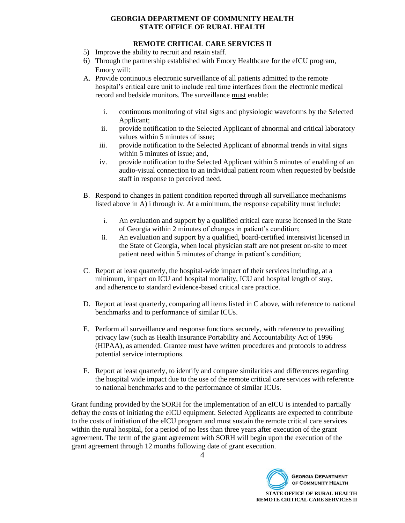# **REMOTE CRITICAL CARE SERVICES II**

- 5) Improve the ability to recruit and retain staff.
- 6) Through the partnership established with Emory Healthcare for the eICU program, Emory will:
- A. Provide continuous electronic surveillance of all patients admitted to the remote hospital's critical care unit to include real time interfaces from the electronic medical record and bedside monitors. The surveillance must enable:
	- i. continuous monitoring of vital signs and physiologic waveforms by the Selected Applicant;
	- ii. provide notification to the Selected Applicant of abnormal and critical laboratory values within 5 minutes of issue;
	- iii. provide notification to the Selected Applicant of abnormal trends in vital signs within 5 minutes of issue; and,
	- iv. provide notification to the Selected Applicant within 5 minutes of enabling of an audio-visual connection to an individual patient room when requested by bedside staff in response to perceived need.
- B. Respond to changes in patient condition reported through all surveillance mechanisms listed above in A) i through iv. At a minimum, the response capability must include:
	- i. An evaluation and support by a qualified critical care nurse licensed in the State of Georgia within 2 minutes of changes in patient's condition;
	- ii. An evaluation and support by a qualified, board-certified intensivist licensed in the State of Georgia, when local physician staff are not present on-site to meet patient need within 5 minutes of change in patient's condition;
- C. Report at least quarterly, the hospital-wide impact of their services including, at a minimum, impact on ICU and hospital mortality, ICU and hospital length of stay, and adherence to standard evidence-based critical care practice.
- D. Report at least quarterly, comparing all items listed in C above, with reference to national benchmarks and to performance of similar ICUs.
- E. Perform all surveillance and response functions securely, with reference to prevailing privacy law (such as Health Insurance Portability and Accountability Act of 1996 (HIPAA), as amended. Grantee must have written procedures and protocols to address potential service interruptions.
- F. Report at least quarterly, to identify and compare similarities and differences regarding the hospital wide impact due to the use of the remote critical care services with reference to national benchmarks and to the performance of similar ICUs.

Grant funding provided by the SORH for the implementation of an eICU is intended to partially defray the costs of initiating the eICU equipment. Selected Applicants are expected to contribute to the costs of initiation of the eICU program and must sustain the remote critical care services within the rural hospital, for a period of no less than three years after execution of the grant agreement. The term of the grant agreement with SORH will begin upon the execution of the grant agreement through 12 months following date of grant execution.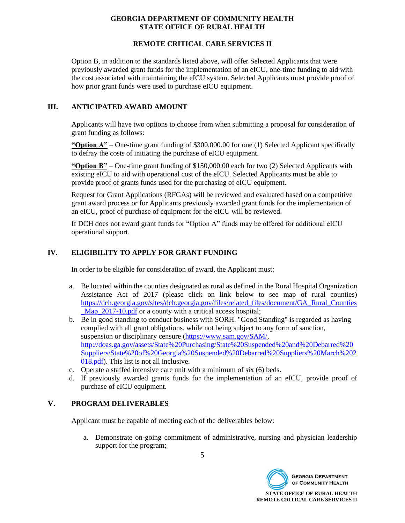# **REMOTE CRITICAL CARE SERVICES II**

Option B, in addition to the standards listed above, will offer Selected Applicants that were previously awarded grant funds for the implementation of an eICU, one-time funding to aid with the cost associated with maintaining the eICU system. Selected Applicants must provide proof of how prior grant funds were used to purchase eICU equipment.

# **III. ANTICIPATED AWARD AMOUNT**

Applicants will have two options to choose from when submitting a proposal for consideration of grant funding as follows:

**"Option A"** – One-time grant funding of \$300,000.00 for one (1) Selected Applicant specifically to defray the costs of initiating the purchase of eICU equipment.

**"Option B"** – One-time grant funding of \$150,000.00 each for two (2) Selected Applicants with existing eICU to aid with operational cost of the eICU. Selected Applicants must be able to provide proof of grants funds used for the purchasing of eICU equipment.

Request for Grant Applications (RFGAs) will be reviewed and evaluated based on a competitive grant award process or for Applicants previously awarded grant funds for the implementation of an eICU, proof of purchase of equipment for the eICU will be reviewed.

If DCH does not award grant funds for "Option A" funds may be offered for additional eICU operational support.

# **IV. ELIGIBILITY TO APPLY FOR GRANT FUNDING**

In order to be eligible for consideration of award, the Applicant must:

- a. Be located within the counties designated as rural as defined in the Rural Hospital Organization Assistance Act of 2017 (please click on link below to see map of rural counties) [https://dch.georgia.gov/sites/dch.georgia.gov/files/related\\_files/document/GA\\_Rural\\_Counties](https://dch.georgia.gov/sites/dch.georgia.gov/files/related_files/document/GA_Rural_Counties_Map_2017-10.pdf) Map 2017-10.pdf or a county with a critical access hospital;
- b. Be in good standing to conduct business with SORH. "Good Standing" is regarded as having complied with all grant obligations, while not being subject to any form of sanction, suspension or disciplinary censure [\(https://www.sam.gov/SAM/,](https://www.sam.gov/SAM/) [http://doas.ga.gov/assets/State%20Purchasing/State%20Suspended%20and%20Debarred%20](http://doas.ga.gov/assets/State%20Purchasing/State%20Suspended%20and%20Debarred%20Suppliers/State%20of%20Georgia%20Suspended%20Debarred%20Suppliers%20March%202018.pdf) [Suppliers/State%20of%20Georgia%20Suspended%20Debarred%20Suppliers%20March%202](http://doas.ga.gov/assets/State%20Purchasing/State%20Suspended%20and%20Debarred%20Suppliers/State%20of%20Georgia%20Suspended%20Debarred%20Suppliers%20March%202018.pdf) [018.pdf\)](http://doas.ga.gov/assets/State%20Purchasing/State%20Suspended%20and%20Debarred%20Suppliers/State%20of%20Georgia%20Suspended%20Debarred%20Suppliers%20March%202018.pdf). This list is not all inclusive.
- c. Operate a staffed intensive care unit with a minimum of six (6) beds.
- d. If previously awarded grants funds for the implementation of an eICU, provide proof of purchase of eICU equipment.

# **V. PROGRAM DELIVERABLES**

Applicant must be capable of meeting each of the deliverables below:

a. Demonstrate on-going commitment of administrative, nursing and physician leadership support for the program;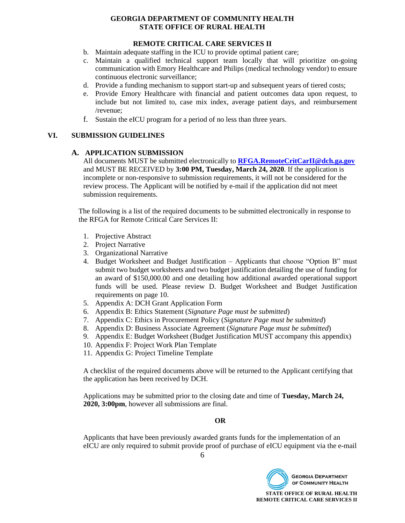# **REMOTE CRITICAL CARE SERVICES II**

- b. Maintain adequate staffing in the ICU to provide optimal patient care;
- c. Maintain a qualified technical support team locally that will prioritize on-going communication with Emory Healthcare and Philips (medical technology vendor) to ensure continuous electronic surveillance;
- d. Provide a funding mechanism to support start-up and subsequent years of tiered costs;
- e. Provide Emory Healthcare with financial and patient outcomes data upon request, to include but not limited to, case mix index, average patient days, and reimbursement /revenue;
- f. Sustain the eICU program for a period of no less than three years.

#### **VI. SUBMISSION GUIDELINES**

#### **A. APPLICATION SUBMISSION**

All documents MUST be submitted electronically to **[RFGA.RemoteCritCarII@dch.ga.gov](mailto:RFGA.RemoteCritCarII@dch.ga.gov)** and MUST BE RECEIVED by **3:00 PM, Tuesday, March 24, 2020**. If the application is incomplete or non-responsive to submission requirements, it will not be considered for the review process. The Applicant will be notified by e-mail if the application did not meet submission requirements.

The following is a list of the required documents to be submitted electronically in response to the RFGA for Remote Critical Care Services II:

- 1. Projective Abstract
- 2. Project Narrative
- 3. Organizational Narrative
- 4. Budget Worksheet and Budget Justification Applicants that choose "Option B" must submit two budget worksheets and two budget justification detailing the use of funding for an award of \$150,000.00 and one detailing how additional awarded operational support funds will be used. Please review D. Budget Worksheet and Budget Justification requirements on page 10.
- 5. Appendix A: DCH Grant Application Form
- 6. Appendix B: Ethics Statement (*Signature Page must be submitted*)
- 7. Appendix C: Ethics in Procurement Policy (*Signature Page must be submitted*)
- 8. Appendix D: Business Associate Agreement (*Signature Page must be submitted*)
- 9. Appendix E: Budget Worksheet (Budget Justification MUST accompany this appendix)
- 10. Appendix F: Project Work Plan Template
- 11. Appendix G: Project Timeline Template

A checklist of the required documents above will be returned to the Applicant certifying that the application has been received by DCH.

Applications may be submitted prior to the closing date and time of **Tuesday, March 24, 2020, 3:00pm**, however all submissions are final.

# **OR**

Applicants that have been previously awarded grants funds for the implementation of an eICU are only required to submit provide proof of purchase of eICU equipment via the e-mail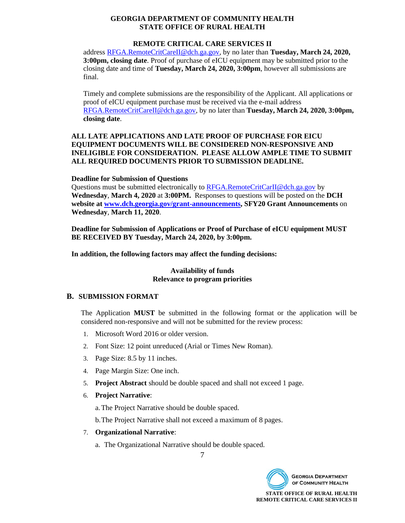# **REMOTE CRITICAL CARE SERVICES II**

addres[s RFGA.RemoteCritCareII@dch.ga.gov,](mailto:RFGA.RemoteCritCareII@dch.ga.gov) by no later than **Tuesday, March 24, 2020, 3:00pm, closing date**. Proof of purchase of eICU equipment may be submitted prior to the closing date and time of **Tuesday, March 24, 2020, 3:00pm**, however all submissions are final.

Timely and complete submissions are the responsibility of the Applicant. All applications or proof of eICU equipment purchase must be received via the e-mail address [RFGA.RemoteCritCareII@dch.ga.gov,](mailto:RFGA.RemoteCritCareII@dch.ga.gov) by no later than **Tuesday, March 24, 2020, 3:00pm, closing date**.

# **ALL LATE APPLICATIONS AND LATE PROOF OF PURCHASE FOR EICU EQUIPMENT DOCUMENTS WILL BE CONSIDERED NON-RESPONSIVE AND INELIGIBLE FOR CONSIDERATION. PLEASE ALLOW AMPLE TIME TO SUBMIT ALL REQUIRED DOCUMENTS PRIOR TO SUBMISSION DEADLINE.**

#### **Deadline for Submission of Questions**

Questions must be submitted electronically to [RFGA.RemoteCritCarII@dch.ga.gov](mailto:RFGA.RemoteCritCarII@dch.ga.gov) by **Wednesday**, **March 4, 2020** at **3:00PM.** Responses to questions will be posted on the **DCH website at [www.dch.georgia.gov/grant-announcements,](http://www.dch.georgia.gov/grant-announcements) SFY20 Grant Announcements** on **Wednesday**, **March 11, 2020**.

**Deadline for Submission of Applications or Proof of Purchase of eICU equipment MUST BE RECEIVED BY Tuesday, March 24, 2020, by 3:00pm.**

**In addition, the following factors may affect the funding decisions:**

# **Availability of funds Relevance to program priorities**

#### **B. SUBMISSION FORMAT**

The Application **MUST** be submitted in the following format or the application will be considered non-responsive and will not be submitted for the review process:

- 1. Microsoft Word 2016 or older version.
- 2. Font Size: 12 point unreduced (Arial or Times New Roman).
- 3. Page Size: 8.5 by 11 inches.
- 4. Page Margin Size: One inch.
- 5. **Project Abstract** should be double spaced and shall not exceed 1 page.
- 6. **Project Narrative**:

a.The Project Narrative should be double spaced.

b.The Project Narrative shall not exceed a maximum of 8 pages.

#### 7. **Organizational Narrative**:

a. The Organizational Narrative should be double spaced.

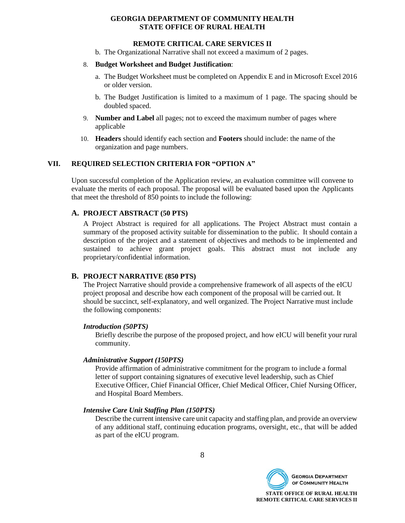#### **REMOTE CRITICAL CARE SERVICES II**

b. The Organizational Narrative shall not exceed a maximum of 2 pages.

#### 8. **Budget Worksheet and Budget Justification**:

- a. The Budget Worksheet must be completed on Appendix E and in Microsoft Excel 2016 or older version.
- b. The Budget Justification is limited to a maximum of 1 page. The spacing should be doubled spaced.
- 9. **Number and Label** all pages; not to exceed the maximum number of pages where applicable
- 10. **Headers** should identify each section and **Footers** should include: the name of the organization and page numbers.

# **VII. REQUIRED SELECTION CRITERIA FOR "OPTION A"**

Upon successful completion of the Application review, an evaluation committee will convene to evaluate the merits of each proposal. The proposal will be evaluated based upon the Applicants that meet the threshold of 850 points to include the following:

#### **A. PROJECT ABSTRACT (50 PTS)**

A Project Abstract is required for all applications. The Project Abstract must contain a summary of the proposed activity suitable for dissemination to the public. It should contain a description of the project and a statement of objectives and methods to be implemented and sustained to achieve grant project goals. This abstract must not include any proprietary/confidential information.

#### **B. PROJECT NARRATIVE (850 PTS)**

The Project Narrative should provide a comprehensive framework of all aspects of the eICU project proposal and describe how each component of the proposal will be carried out. It should be succinct, self-explanatory, and well organized. The Project Narrative must include the following components:

#### *Introduction (50PTS)*

Briefly describe the purpose of the proposed project, and how eICU will benefit your rural community.

#### *Administrative Support (150PTS)*

Provide affirmation of administrative commitment for the program to include a formal letter of support containing signatures of executive level leadership, such as Chief Executive Officer, Chief Financial Officer, Chief Medical Officer, Chief Nursing Officer, and Hospital Board Members.

#### *Intensive Care Unit Staffing Plan (150PTS)*

Describe the current intensive care unit capacity and staffing plan, and provide an overview of any additional staff, continuing education programs, oversight, etc., that will be added as part of the eICU program.

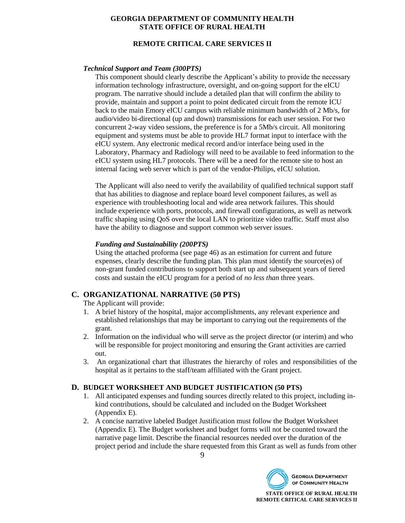# **REMOTE CRITICAL CARE SERVICES II**

#### *Technical Support and Team (300PTS)*

This component should clearly describe the Applicant's ability to provide the necessary information technology infrastructure, oversight, and on-going support for the eICU program. The narrative should include a detailed plan that will confirm the ability to provide, maintain and support a point to point dedicated circuit from the remote ICU back to the main Emory eICU campus with reliable minimum bandwidth of 2 Mb/s, for audio/video bi-directional (up and down) transmissions for each user session. For two concurrent 2-way video sessions, the preference is for a 5Mb/s circuit. All monitoring equipment and systems must be able to provide HL7 format input to interface with the eICU system. Any electronic medical record and/or interface being used in the Laboratory, Pharmacy and Radiology will need to be available to feed information to the eICU system using HL7 protocols. There will be a need for the remote site to host an internal facing web server which is part of the vendor-Philips, eICU solution.

The Applicant will also need to verify the availability of qualified technical support staff that has abilities to diagnose and replace board level component failures, as well as experience with troubleshooting local and wide area network failures. This should include experience with ports, protocols, and firewall configurations, as well as network traffic shaping using QoS over the local LAN to prioritize video traffic. Staff must also have the ability to diagnose and support common web server issues.

#### *Funding and Sustainability (200PTS)*

Using the attached proforma (see page 46) as an estimation for current and future expenses, clearly describe the funding plan. This plan must identify the source(es) of non-grant funded contributions to support both start up and subsequent years of tiered costs and sustain the eICU program for a period of *no less than* three years.

# **C. ORGANIZATIONAL NARRATIVE (50 PTS)**

The Applicant will provide:

- 1. A brief history of the hospital, major accomplishments, any relevant experience and established relationships that may be important to carrying out the requirements of the grant.
- 2. Information on the individual who will serve as the project director (or interim) and who will be responsible for project monitoring and ensuring the Grant activities are carried out.
- 3. An organizational chart that illustrates the hierarchy of roles and responsibilities of the hospital as it pertains to the staff/team affiliated with the Grant project.

#### **D. BUDGET WORKSHEET AND BUDGET JUSTIFICATION (50 PTS)**

- 1. All anticipated expenses and funding sources directly related to this project, including inkind contributions, should be calculated and included on the Budget Worksheet (Appendix E).
- 2. A concise narrative labeled Budget Justification must follow the Budget Worksheet (Appendix E). The Budget worksheet and budget forms will not be counted toward the narrative page limit. Describe the financial resources needed over the duration of the project period and include the share requested from this Grant as well as funds from other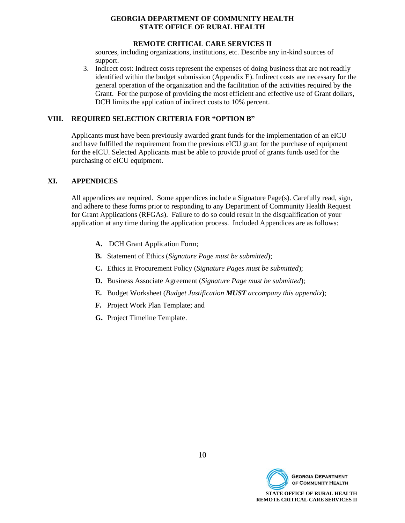#### **REMOTE CRITICAL CARE SERVICES II**

sources, including organizations, institutions, etc. Describe any in-kind sources of support.

3. Indirect cost: Indirect costs represent the expenses of doing business that are not readily identified within the budget submission (Appendix E). Indirect costs are necessary for the general operation of the organization and the facilitation of the activities required by the Grant. For the purpose of providing the most efficient and effective use of Grant dollars, DCH limits the application of indirect costs to 10% percent.

#### **VIII. REQUIRED SELECTION CRITERIA FOR "OPTION B"**

Applicants must have been previously awarded grant funds for the implementation of an eICU and have fulfilled the requirement from the previous eICU grant for the purchase of equipment for the eICU. Selected Applicants must be able to provide proof of grants funds used for the purchasing of eICU equipment.

# **XI. APPENDICES**

All appendices are required. Some appendices include a Signature Page(s). Carefully read, sign, and adhere to these forms prior to responding to any Department of Community Health Request for Grant Applications (RFGAs). Failure to do so could result in the disqualification of your application at any time during the application process. Included Appendices are as follows:

- **A.** DCH Grant Application Form;
- **B.** Statement of Ethics (*Signature Page must be submitted*);
- **C.** Ethics in Procurement Policy (*Signature Pages must be submitted*);
- **D.** Business Associate Agreement (*Signature Page must be submitted*);
- **E.** Budget Worksheet (*Budget Justification MUST accompany this appendix*);
- **F.** Project Work Plan Template; and
- **G.** Project Timeline Template.

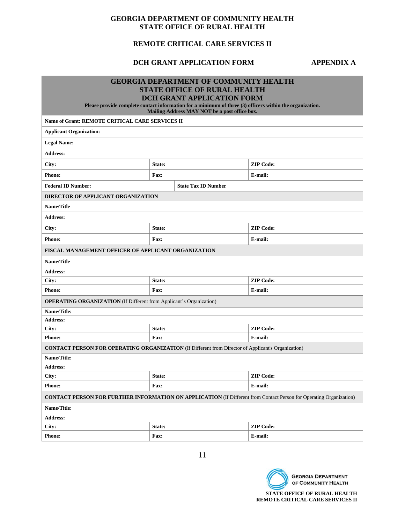# **REMOTE CRITICAL CARE SERVICES II**

# **DCH GRANT APPLICATION FORM APPENDIX A**

| Name of Grant: REMOTE CRITICAL CARE SERVICES II<br><b>Applicant Organization:</b><br><b>Legal Name:</b>   |        | <b>GEORGIA DEPARTMENT OF COMMUNITY HEALTH</b><br><b>STATE OFFICE OF RURAL HEALTH</b><br><b>DCH GRANT APPLICATION FORM</b><br>Please provide complete contact information for a minimum of three (3) officers within the organization.<br>Mailing Address MAY NOT be a post office box. |                                                                                                                            |  |  |  |
|-----------------------------------------------------------------------------------------------------------|--------|----------------------------------------------------------------------------------------------------------------------------------------------------------------------------------------------------------------------------------------------------------------------------------------|----------------------------------------------------------------------------------------------------------------------------|--|--|--|
| <b>Address:</b>                                                                                           |        |                                                                                                                                                                                                                                                                                        |                                                                                                                            |  |  |  |
| City:                                                                                                     | State: |                                                                                                                                                                                                                                                                                        | <b>ZIP Code:</b>                                                                                                           |  |  |  |
| <b>Phone:</b>                                                                                             | Fax:   |                                                                                                                                                                                                                                                                                        | E-mail:                                                                                                                    |  |  |  |
| <b>Federal ID Number:</b>                                                                                 |        | <b>State Tax ID Number</b>                                                                                                                                                                                                                                                             |                                                                                                                            |  |  |  |
| <b>DIRECTOR OF APPLICANT ORGANIZATION</b>                                                                 |        |                                                                                                                                                                                                                                                                                        |                                                                                                                            |  |  |  |
| Name/Title                                                                                                |        |                                                                                                                                                                                                                                                                                        |                                                                                                                            |  |  |  |
| <b>Address:</b>                                                                                           |        |                                                                                                                                                                                                                                                                                        |                                                                                                                            |  |  |  |
| City:                                                                                                     | State: |                                                                                                                                                                                                                                                                                        | <b>ZIP Code:</b>                                                                                                           |  |  |  |
| <b>Phone:</b>                                                                                             | Fax:   |                                                                                                                                                                                                                                                                                        | E-mail:                                                                                                                    |  |  |  |
| FISCAL MANAGEMENT OFFICER OF APPLICANT ORGANIZATION                                                       |        |                                                                                                                                                                                                                                                                                        |                                                                                                                            |  |  |  |
| Name/Title                                                                                                |        |                                                                                                                                                                                                                                                                                        |                                                                                                                            |  |  |  |
| <b>Address:</b>                                                                                           |        |                                                                                                                                                                                                                                                                                        |                                                                                                                            |  |  |  |
| City:                                                                                                     | State: |                                                                                                                                                                                                                                                                                        | <b>ZIP Code:</b>                                                                                                           |  |  |  |
| <b>Phone:</b>                                                                                             | Fax:   |                                                                                                                                                                                                                                                                                        | E-mail:                                                                                                                    |  |  |  |
| <b>OPERATING ORGANIZATION</b> (If Different from Applicant's Organization)                                |        |                                                                                                                                                                                                                                                                                        |                                                                                                                            |  |  |  |
| Name/Title:                                                                                               |        |                                                                                                                                                                                                                                                                                        |                                                                                                                            |  |  |  |
| <b>Address:</b>                                                                                           |        |                                                                                                                                                                                                                                                                                        |                                                                                                                            |  |  |  |
| City:                                                                                                     | State: |                                                                                                                                                                                                                                                                                        | <b>ZIP Code:</b>                                                                                                           |  |  |  |
| <b>Phone:</b>                                                                                             | Fax:   |                                                                                                                                                                                                                                                                                        | E-mail:                                                                                                                    |  |  |  |
| <b>CONTACT PERSON FOR OPERATING ORGANIZATION (If Different from Director of Applicant's Organization)</b> |        |                                                                                                                                                                                                                                                                                        |                                                                                                                            |  |  |  |
| Name/Title:                                                                                               |        |                                                                                                                                                                                                                                                                                        |                                                                                                                            |  |  |  |
| <b>Address:</b>                                                                                           |        |                                                                                                                                                                                                                                                                                        |                                                                                                                            |  |  |  |
| City:<br><b>ZIP Code:</b><br>State:                                                                       |        |                                                                                                                                                                                                                                                                                        |                                                                                                                            |  |  |  |
| Phone:<br>E-mail:<br>Fax:                                                                                 |        |                                                                                                                                                                                                                                                                                        |                                                                                                                            |  |  |  |
|                                                                                                           |        |                                                                                                                                                                                                                                                                                        | <b>CONTACT PERSON FOR FURTHER INFORMATION ON APPLICATION</b> (If Different from Contact Person for Operating Organization) |  |  |  |
| Name/Title:                                                                                               |        |                                                                                                                                                                                                                                                                                        |                                                                                                                            |  |  |  |
| Address:                                                                                                  |        |                                                                                                                                                                                                                                                                                        |                                                                                                                            |  |  |  |
| City:                                                                                                     | State: |                                                                                                                                                                                                                                                                                        | <b>ZIP Code:</b>                                                                                                           |  |  |  |
| Phone:<br>Fax:<br>E-mail:                                                                                 |        |                                                                                                                                                                                                                                                                                        |                                                                                                                            |  |  |  |

11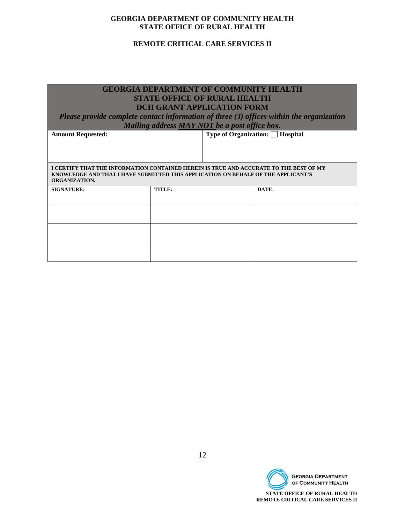# **REMOTE CRITICAL CARE SERVICES II**

| <b>GEORGIA DEPARTMENT OF COMMUNITY HEALTH</b>                                                             |                                               |  |                                                                                          |  |  |  |  |
|-----------------------------------------------------------------------------------------------------------|-----------------------------------------------|--|------------------------------------------------------------------------------------------|--|--|--|--|
| <b>STATE OFFICE OF RURAL HEALTH</b>                                                                       |                                               |  |                                                                                          |  |  |  |  |
|                                                                                                           | <b>DCH GRANT APPLICATION FORM</b>             |  |                                                                                          |  |  |  |  |
|                                                                                                           |                                               |  | Please provide complete contact information of three (3) offices within the organization |  |  |  |  |
|                                                                                                           | Mailing address MAY NOT be a post office box. |  |                                                                                          |  |  |  |  |
| <b>Amount Requested:</b>                                                                                  |                                               |  | <b>Type of Organization:</b> ■ Hospital                                                  |  |  |  |  |
|                                                                                                           |                                               |  |                                                                                          |  |  |  |  |
|                                                                                                           |                                               |  |                                                                                          |  |  |  |  |
|                                                                                                           |                                               |  |                                                                                          |  |  |  |  |
| I CERTIFY THAT THE INFORMATION CONTAINED HEREIN IS TRUE AND ACCURATE TO THE BEST OF MY                    |                                               |  |                                                                                          |  |  |  |  |
| KNOWLEDGE AND THAT I HAVE SUBMITTED THIS APPLICATION ON BEHALF OF THE APPLICANT'S<br><b>ORGANIZATION.</b> |                                               |  |                                                                                          |  |  |  |  |
| <b>SIGNATURE:</b>                                                                                         | TITLE:                                        |  | DATE:                                                                                    |  |  |  |  |
|                                                                                                           |                                               |  |                                                                                          |  |  |  |  |
|                                                                                                           |                                               |  |                                                                                          |  |  |  |  |
|                                                                                                           |                                               |  |                                                                                          |  |  |  |  |
|                                                                                                           |                                               |  |                                                                                          |  |  |  |  |
|                                                                                                           |                                               |  |                                                                                          |  |  |  |  |
|                                                                                                           |                                               |  |                                                                                          |  |  |  |  |
|                                                                                                           |                                               |  |                                                                                          |  |  |  |  |
|                                                                                                           |                                               |  |                                                                                          |  |  |  |  |

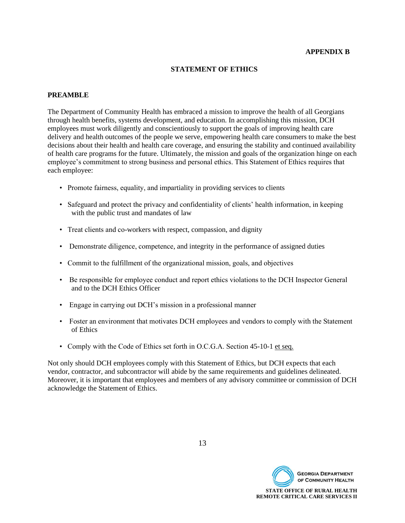#### **APPENDIX B**

#### **STATEMENT OF ETHICS**

#### **PREAMBLE**

The Department of Community Health has embraced a mission to improve the health of all Georgians through health benefits, systems development, and education. In accomplishing this mission, DCH employees must work diligently and conscientiously to support the goals of improving health care delivery and health outcomes of the people we serve, empowering health care consumers to make the best decisions about their health and health care coverage, and ensuring the stability and continued availability of health care programs for the future. Ultimately, the mission and goals of the organization hinge on each employee's commitment to strong business and personal ethics. This Statement of Ethics requires that each employee:

- Promote fairness, equality, and impartiality in providing services to clients
- Safeguard and protect the privacy and confidentiality of clients' health information, in keeping with the public trust and mandates of law
- Treat clients and co-workers with respect, compassion, and dignity
- Demonstrate diligence, competence, and integrity in the performance of assigned duties
- Commit to the fulfillment of the organizational mission, goals, and objectives
- Be responsible for employee conduct and report ethics violations to the DCH Inspector General and to the DCH Ethics Officer
- Engage in carrying out DCH's mission in a professional manner
- Foster an environment that motivates DCH employees and vendors to comply with the Statement of Ethics
- Comply with the Code of Ethics set forth in O.C.G.A. Section 45-10-1 et seq.

Not only should DCH employees comply with this Statement of Ethics, but DCH expects that each vendor, contractor, and subcontractor will abide by the same requirements and guidelines delineated. Moreover, it is important that employees and members of any advisory committee or commission of DCH acknowledge the Statement of Ethics.

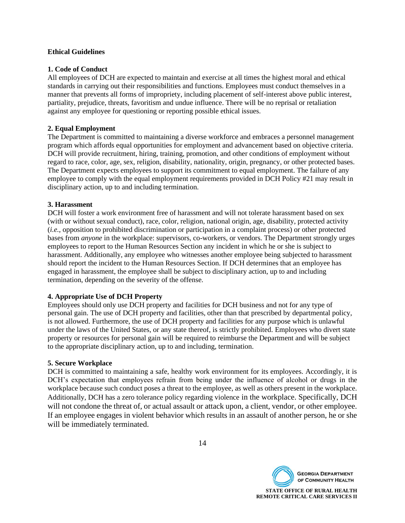#### **Ethical Guidelines**

#### **1. Code of Conduct**

All employees of DCH are expected to maintain and exercise at all times the highest moral and ethical standards in carrying out their responsibilities and functions. Employees must conduct themselves in a manner that prevents all forms of impropriety, including placement of self-interest above public interest, partiality, prejudice, threats, favoritism and undue influence. There will be no reprisal or retaliation against any employee for questioning or reporting possible ethical issues.

### **2. Equal Employment**

The Department is committed to maintaining a diverse workforce and embraces a personnel management program which affords equal opportunities for employment and advancement based on objective criteria. DCH will provide recruitment, hiring, training, promotion, and other conditions of employment without regard to race, color, age, sex, religion, disability, nationality, origin, pregnancy, or other protected bases. The Department expects employees to support its commitment to equal employment. The failure of any employee to comply with the equal employment requirements provided in DCH Policy #21 may result in disciplinary action, up to and including termination.

#### **3. Harassment**

DCH will foster a work environment free of harassment and will not tolerate harassment based on sex (with or without sexual conduct), race, color, religion, national origin, age, disability, protected activity (*i.e.*, opposition to prohibited discrimination or participation in a complaint process) or other protected bases from *anyone* in the workplace: supervisors, co-workers, or vendors. The Department strongly urges employees to report to the Human Resources Section any incident in which he or she is subject to harassment. Additionally, any employee who witnesses another employee being subjected to harassment should report the incident to the Human Resources Section. If DCH determines that an employee has engaged in harassment, the employee shall be subject to disciplinary action, up to and including termination, depending on the severity of the offense.

# **4. Appropriate Use of DCH Property**

Employees should only use DCH property and facilities for DCH business and not for any type of personal gain. The use of DCH property and facilities, other than that prescribed by departmental policy, is not allowed. Furthermore, the use of DCH property and facilities for any purpose which is unlawful under the laws of the United States, or any state thereof, is strictly prohibited. Employees who divert state property or resources for personal gain will be required to reimburse the Department and will be subject to the appropriate disciplinary action, up to and including, termination.

#### **5. Secure Workplace**

DCH is committed to maintaining a safe, healthy work environment for its employees. Accordingly, it is DCH's expectation that employees refrain from being under the influence of alcohol or drugs in the workplace because such conduct poses a threat to the employee, as well as others present in the workplace. Additionally, DCH has a zero tolerance policy regarding violence in the workplace. Specifically, DCH will not condone the threat of, or actual assault or attack upon, a client, vendor, or other employee. If an employee engages in violent behavior which results in an assault of another person, he or she will be immediately terminated.



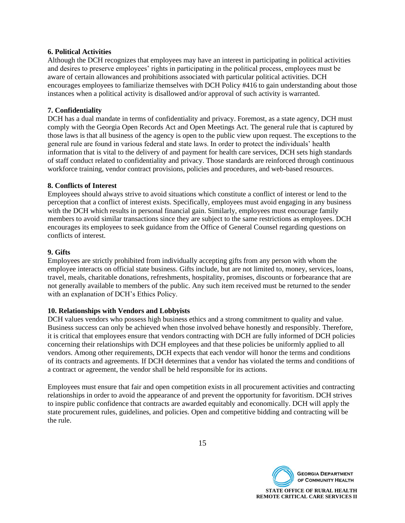#### **6. Political Activities**

Although the DCH recognizes that employees may have an interest in participating in political activities and desires to preserve employees' rights in participating in the political process, employees must be aware of certain allowances and prohibitions associated with particular political activities. DCH encourages employees to familiarize themselves with DCH Policy #416 to gain understanding about those instances when a political activity is disallowed and/or approval of such activity is warranted.

# **7. Confidentiality**

DCH has a dual mandate in terms of confidentiality and privacy. Foremost, as a state agency, DCH must comply with the Georgia Open Records Act and Open Meetings Act. The general rule that is captured by those laws is that all business of the agency is open to the public view upon request. The exceptions to the general rule are found in various federal and state laws. In order to protect the individuals' health information that is vital to the delivery of and payment for health care services, DCH sets high standards of staff conduct related to confidentiality and privacy. Those standards are reinforced through continuous workforce training, vendor contract provisions, policies and procedures, and web-based resources.

#### **8. Conflicts of Interest**

Employees should always strive to avoid situations which constitute a conflict of interest or lend to the perception that a conflict of interest exists. Specifically, employees must avoid engaging in any business with the DCH which results in personal financial gain. Similarly, employees must encourage family members to avoid similar transactions since they are subject to the same restrictions as employees. DCH encourages its employees to seek guidance from the Office of General Counsel regarding questions on conflicts of interest.

#### **9. Gifts**

Employees are strictly prohibited from individually accepting gifts from any person with whom the employee interacts on official state business. Gifts include, but are not limited to, money, services, loans, travel, meals, charitable donations, refreshments, hospitality, promises, discounts or forbearance that are not generally available to members of the public. Any such item received must be returned to the sender with an explanation of DCH's Ethics Policy.

#### **10. Relationships with Vendors and Lobbyists**

DCH values vendors who possess high business ethics and a strong commitment to quality and value. Business success can only be achieved when those involved behave honestly and responsibly. Therefore, it is critical that employees ensure that vendors contracting with DCH are fully informed of DCH policies concerning their relationships with DCH employees and that these policies be uniformly applied to all vendors. Among other requirements, DCH expects that each vendor will honor the terms and conditions of its contracts and agreements. If DCH determines that a vendor has violated the terms and conditions of a contract or agreement, the vendor shall be held responsible for its actions.

Employees must ensure that fair and open competition exists in all procurement activities and contracting relationships in order to avoid the appearance of and prevent the opportunity for favoritism. DCH strives to inspire public confidence that contracts are awarded equitably and economically. DCH will apply the state procurement rules, guidelines, and policies. Open and competitive bidding and contracting will be the rule.



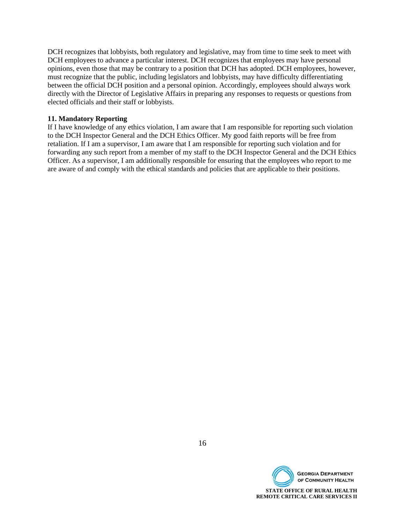DCH recognizes that lobbyists, both regulatory and legislative, may from time to time seek to meet with DCH employees to advance a particular interest. DCH recognizes that employees may have personal opinions, even those that may be contrary to a position that DCH has adopted. DCH employees, however, must recognize that the public, including legislators and lobbyists, may have difficulty differentiating between the official DCH position and a personal opinion. Accordingly, employees should always work directly with the Director of Legislative Affairs in preparing any responses to requests or questions from elected officials and their staff or lobbyists.

#### **11. Mandatory Reporting**

If I have knowledge of any ethics violation, I am aware that I am responsible for reporting such violation to the DCH Inspector General and the DCH Ethics Officer. My good faith reports will be free from retaliation. If I am a supervisor, I am aware that I am responsible for reporting such violation and for forwarding any such report from a member of my staff to the DCH Inspector General and the DCH Ethics Officer. As a supervisor, I am additionally responsible for ensuring that the employees who report to me are aware of and comply with the ethical standards and policies that are applicable to their positions.

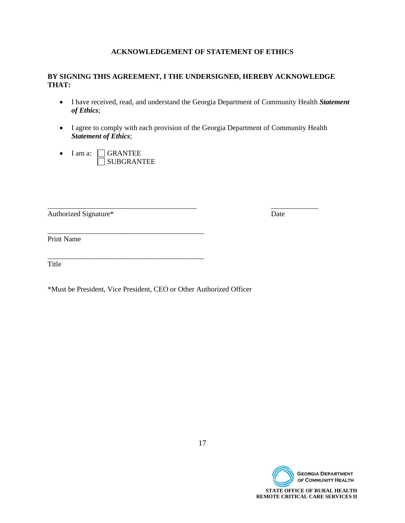# **ACKNOWLEDGEMENT OF STATEMENT OF ETHICS**

# **BY SIGNING THIS AGREEMENT, I THE UNDERSIGNED, HEREBY ACKNOWLEDGE THAT:**

- I have received, read, and understand the Georgia Department of Community Health *Statement of Ethics*;
- I agree to comply with each provision of the Georgia Department of Community Health *Statement of Ethics*;
- $\bullet$  I am a:  $\Box$  GRANTEE SUBGRANTEE

\_\_\_\_\_\_\_\_\_\_\_\_\_\_\_\_\_\_\_\_\_\_\_\_\_\_\_\_\_\_\_\_\_\_\_\_\_\_\_\_\_\_\_

\_\_\_\_\_\_\_\_\_\_\_\_\_\_\_\_\_\_\_\_\_\_\_\_\_\_\_\_\_\_\_\_\_\_\_\_\_\_\_\_\_\_\_

Authorized Signature\* Date

\_\_\_\_\_\_\_\_\_\_\_\_\_\_\_\_\_\_\_\_\_\_\_\_\_\_\_\_\_\_\_\_\_\_\_\_\_\_\_\_\_ \_\_\_\_\_\_\_\_\_\_\_\_\_

Print Name

Title

\*Must be President, Vice President, CEO or Other Authorized Officer

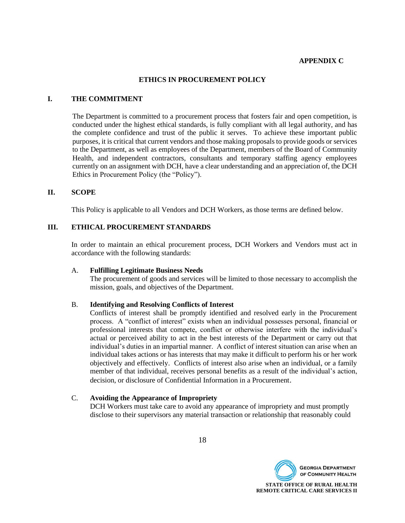#### **APPENDIX C**

#### **ETHICS IN PROCUREMENT POLICY**

#### **I. THE COMMITMENT**

The Department is committed to a procurement process that fosters fair and open competition, is conducted under the highest ethical standards, is fully compliant with all legal authority, and has the complete confidence and trust of the public it serves. To achieve these important public purposes, it is critical that current vendors and those making proposals to provide goods or services to the Department, as well as employees of the Department, members of the Board of Community Health, and independent contractors, consultants and temporary staffing agency employees currently on an assignment with DCH, have a clear understanding and an appreciation of, the DCH Ethics in Procurement Policy (the "Policy").

#### **II. SCOPE**

This Policy is applicable to all Vendors and DCH Workers, as those terms are defined below.

#### **III. ETHICAL PROCUREMENT STANDARDS**

In order to maintain an ethical procurement process, DCH Workers and Vendors must act in accordance with the following standards:

#### A. **Fulfilling Legitimate Business Needs**

The procurement of goods and services will be limited to those necessary to accomplish the mission, goals, and objectives of the Department.

#### B. **Identifying and Resolving Conflicts of Interest**

Conflicts of interest shall be promptly identified and resolved early in the Procurement process. A "conflict of interest" exists when an individual possesses personal, financial or professional interests that compete, conflict or otherwise interfere with the individual's actual or perceived ability to act in the best interests of the Department or carry out that individual's duties in an impartial manner. A conflict of interest situation can arise when an individual takes actions or has interests that may make it difficult to perform his or her work objectively and effectively. Conflicts of interest also arise when an individual, or a family member of that individual, receives personal benefits as a result of the individual's action, decision, or disclosure of Confidential Information in a Procurement.

#### C. **Avoiding the Appearance of Impropriety**

DCH Workers must take care to avoid any appearance of impropriety and must promptly disclose to their supervisors any material transaction or relationship that reasonably could

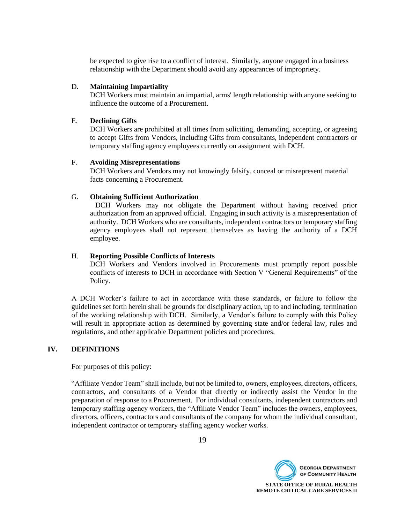be expected to give rise to a conflict of interest. Similarly, anyone engaged in a business relationship with the Department should avoid any appearances of impropriety.

#### D. **Maintaining Impartiality**

DCH Workers must maintain an impartial, arms' length relationship with anyone seeking to influence the outcome of a Procurement.

#### E. **Declining Gifts**

DCH Workers are prohibited at all times from soliciting, demanding, accepting, or agreeing to accept Gifts from Vendors, including Gifts from consultants, independent contractors or temporary staffing agency employees currently on assignment with DCH.

#### F. **Avoiding Misrepresentations**

DCH Workers and Vendors may not knowingly falsify, conceal or misrepresent material facts concerning a Procurement.

#### G. **Obtaining Sufficient Authorization**

DCH Workers may not obligate the Department without having received prior authorization from an approved official. Engaging in such activity is a misrepresentation of authority. DCH Workers who are consultants, independent contractors or temporary staffing agency employees shall not represent themselves as having the authority of a DCH employee.

#### H. **Reporting Possible Conflicts of Interests**

DCH Workers and Vendors involved in Procurements must promptly report possible conflicts of interests to DCH in accordance with Section V "General Requirements" of the Policy.

A DCH Worker's failure to act in accordance with these standards, or failure to follow the guidelines set forth herein shall be grounds for disciplinary action, up to and including, termination of the working relationship with DCH. Similarly, a Vendor's failure to comply with this Policy will result in appropriate action as determined by governing state and/or federal law, rules and regulations, and other applicable Department policies and procedures.

#### **IV. DEFINITIONS**

For purposes of this policy:

"Affiliate Vendor Team" shall include, but not be limited to, owners, employees, directors, officers, contractors, and consultants of a Vendor that directly or indirectly assist the Vendor in the preparation of response to a Procurement. For individual consultants, independent contractors and temporary staffing agency workers, the "Affiliate Vendor Team" includes the owners, employees, directors, officers, contractors and consultants of the company for whom the individual consultant, independent contractor or temporary staffing agency worker works.

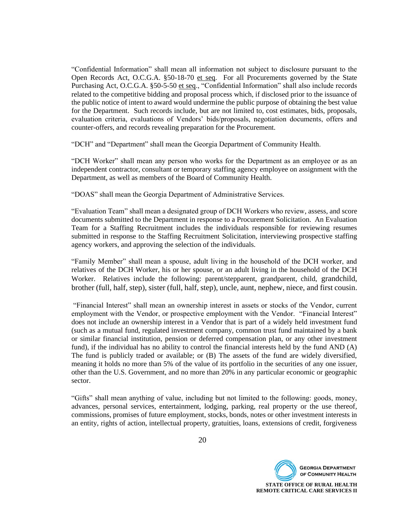"Confidential Information" shall mean all information not subject to disclosure pursuant to the Open Records Act, O.C.G.A. §50-18-70 et seq. For all Procurements governed by the State Purchasing Act, O.C.G.A. §50-5-50 et seq., "Confidential Information" shall also include records related to the competitive bidding and proposal process which, if disclosed prior to the issuance of the public notice of intent to award would undermine the public purpose of obtaining the best value for the Department. Such records include, but are not limited to, cost estimates, bids, proposals, evaluation criteria, evaluations of Vendors' bids/proposals, negotiation documents, offers and counter-offers, and records revealing preparation for the Procurement.

"DCH" and "Department" shall mean the Georgia Department of Community Health.

"DCH Worker" shall mean any person who works for the Department as an employee or as an independent contractor, consultant or temporary staffing agency employee on assignment with the Department, as well as members of the Board of Community Health.

"DOAS" shall mean the Georgia Department of Administrative Services.

"Evaluation Team" shall mean a designated group of DCH Workers who review, assess, and score documents submitted to the Department in response to a Procurement Solicitation. An Evaluation Team for a Staffing Recruitment includes the individuals responsible for reviewing resumes submitted in response to the Staffing Recruitment Solicitation, interviewing prospective staffing agency workers, and approving the selection of the individuals.

"Family Member" shall mean a spouse, adult living in the household of the DCH worker, and relatives of the DCH Worker, his or her spouse, or an adult living in the household of the DCH Worker. Relatives include the following: parent/stepparent, grandparent, child, grandchild, brother (full, half, step), sister (full, half, step), uncle, aunt, nephew, niece, and first cousin.

"Financial Interest" shall mean an ownership interest in assets or stocks of the Vendor, current employment with the Vendor, or prospective employment with the Vendor. "Financial Interest" does not include an ownership interest in a Vendor that is part of a widely held investment fund (such as a mutual fund, regulated investment company, common trust fund maintained by a bank or similar financial institution, pension or deferred compensation plan, or any other investment fund), if the individual has no ability to control the financial interests held by the fund AND (A) The fund is publicly traded or available; or (B) The assets of the fund are widely diversified, meaning it holds no more than 5% of the value of its portfolio in the securities of any one issuer, other than the U.S. Government, and no more than 20% in any particular economic or geographic sector.

"Gifts" shall mean anything of value, including but not limited to the following: goods, money, advances, personal services, entertainment, lodging, parking, real property or the use thereof, commissions, promises of future employment, stocks, bonds, notes or other investment interests in an entity, rights of action, intellectual property, gratuities, loans, extensions of credit, forgiveness

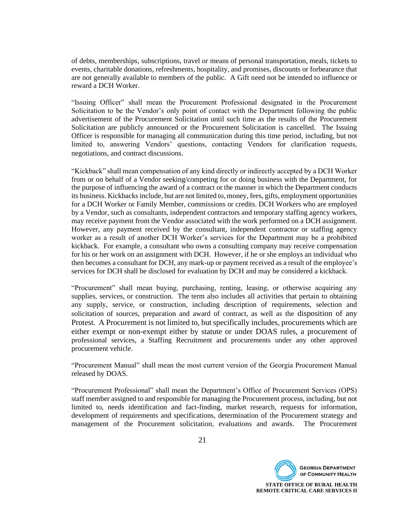of debts, memberships, subscriptions, travel or means of personal transportation, meals, tickets to events, charitable donations, refreshments, hospitality, and promises, discounts or forbearance that are not generally available to members of the public. A Gift need not be intended to influence or reward a DCH Worker.

"Issuing Officer" shall mean the Procurement Professional designated in the Procurement Solicitation to be the Vendor's only point of contact with the Department following the public advertisement of the Procurement Solicitation until such time as the results of the Procurement Solicitation are publicly announced or the Procurement Solicitation is cancelled. The Issuing Officer is responsible for managing all communication during this time period, including, but not limited to, answering Vendors' questions, contacting Vendors for clarification requests, negotiations, and contract discussions.

"Kickback" shall mean compensation of any kind directly or indirectly accepted by a DCH Worker from or on behalf of a Vendor seeking/competing for or doing business with the Department, for the purpose of influencing the award of a contract or the manner in which the Department conducts its business. Kickbacks include, but are not limited to, money, fees, gifts, employment opportunities for a DCH Worker or Family Member, commissions or credits. DCH Workers who are employed by a Vendor, such as consultants, independent contractors and temporary staffing agency workers, may receive payment from the Vendor associated with the work performed on a DCH assignment. However, any payment received by the consultant, independent contractor or staffing agency worker as a result of another DCH Worker's services for the Department may be a prohibited kickback. For example, a consultant who owns a consulting company may receive compensation for his or her work on an assignment with DCH. However, if he or she employs an individual who then becomes a consultant for DCH, any mark-up or payment received as a result of the employee's services for DCH shall be disclosed for evaluation by DCH and may be considered a kickback.

"Procurement" shall mean buying, purchasing, renting, leasing, or otherwise acquiring any supplies, services, or construction. The term also includes all activities that pertain to obtaining any supply, service, or construction, including description of requirements, selection and solicitation of sources, preparation and award of contract, as well as the disposition of any Protest. A Procurement is not limited to, but specifically includes, procurements which are either exempt or non-exempt either by statute or under DOAS rules, a procurement of professional services, a Staffing Recruitment and procurements under any other approved procurement vehicle.

"Procurement Manual" shall mean the most current version of the Georgia Procurement Manual released by DOAS.

"Procurement Professional" shall mean the Department's Office of Procurement Services (OPS) staff member assigned to and responsible for managing the Procurement process, including, but not limited to, needs identification and fact-finding, market research, requests for information, development of requirements and specifications, determination of the Procurement strategy and management of the Procurement solicitation, evaluations and awards. The Procurement

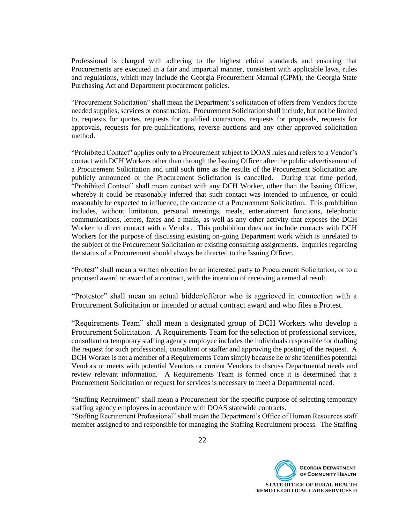Professional is charged with adhering to the highest ethical standards and ensuring that Procurements are executed in a fair and impartial manner, consistent with applicable laws, rules and regulations, which may include the Georgia Procurement Manual (GPM), the Georgia State Purchasing Act and Department procurement policies.

"Procurement Solicitation" shall mean the Department's solicitation of offers from Vendors for the needed supplies, services or construction. Procurement Solicitation shall include, but not be limited to, requests for quotes, requests for qualified contractors, requests for proposals, requests for approvals, requests for pre-qualifications, reverse auctions and any other approved solicitation method.

"Prohibited Contact" applies only to a Procurement subject to DOAS rules and refers to a Vendor's contact with DCH Workers other than through the Issuing Officer after the public advertisement of a Procurement Solicitation and until such time as the results of the Procurement Solicitation are publicly announced or the Procurement Solicitation is cancelled. During that time period, "Prohibited Contact" shall mean contact with any DCH Worker, other than the Issuing Officer, whereby it could be reasonably inferred that such contact was intended to influence, or could reasonably be expected to influence, the outcome of a Procurement Solicitation. This prohibition includes, without limitation, personal meetings, meals, entertainment functions, telephonic communications, letters, faxes and e-mails, as well as any other activity that exposes the DCH Worker to direct contact with a Vendor. This prohibition does not include contacts with DCH Workers for the purpose of discussing existing on-going Department work which is unrelated to the subject of the Procurement Solicitation or existing consulting assignments. Inquiries regarding the status of a Procurement should always be directed to the Issuing Officer.

"Protest" shall mean a written objection by an interested party to Procurement Solicitation, or to a proposed award or award of a contract, with the intention of receiving a remedial result.

"Protestor" shall mean an actual bidder/offeror who is aggrieved in connection with a Procurement Solicitation or intended or actual contract award and who files a Protest.

"Requirements Team" shall mean a designated group of DCH Workers who develop a Procurement Solicitation. A Requirements Team for the selection of professional services, consultant or temporary staffing agency employee includes the individuals responsible for drafting the request for such professional, consultant or staffer and approving the posting of the request. A DCH Worker is not a member of a Requirements Team simply because he or she identifies potential Vendors or meets with potential Vendors or current Vendors to discuss Departmental needs and review relevant information. A Requirements Team is formed once it is determined that a Procurement Solicitation or request for services is necessary to meet a Departmental need.

"Staffing Recruitment" shall mean a Procurement for the specific purpose of selecting temporary staffing agency employees in accordance with DOAS statewide contracts.

"Staffing Recruitment Professional" shall mean the Department's Office of Human Resources staff member assigned to and responsible for managing the Staffing Recruitment process. The Staffing

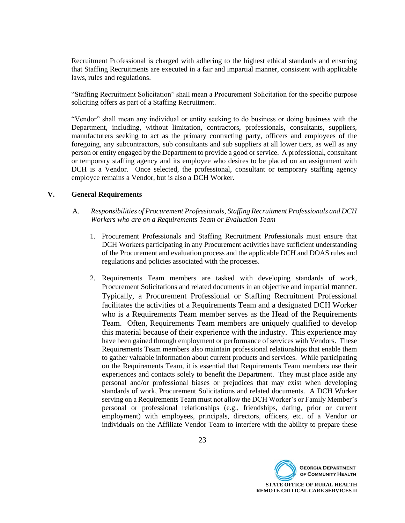Recruitment Professional is charged with adhering to the highest ethical standards and ensuring that Staffing Recruitments are executed in a fair and impartial manner, consistent with applicable laws, rules and regulations.

"Staffing Recruitment Solicitation" shall mean a Procurement Solicitation for the specific purpose soliciting offers as part of a Staffing Recruitment.

"Vendor" shall mean any individual or entity seeking to do business or doing business with the Department, including, without limitation, contractors, professionals, consultants, suppliers, manufacturers seeking to act as the primary contracting party, officers and employees of the foregoing, any subcontractors, sub consultants and sub suppliers at all lower tiers, as well as any person or entity engaged by the Department to provide a good or service. A professional, consultant or temporary staffing agency and its employee who desires to be placed on an assignment with DCH is a Vendor. Once selected, the professional, consultant or temporary staffing agency employee remains a Vendor, but is also a DCH Worker.

#### **V. General Requirements**

- A. *Responsibilities of Procurement Professionals, Staffing Recruitment Professionals and DCH Workers who are on a Requirements Team or Evaluation Team*
	- 1. Procurement Professionals and Staffing Recruitment Professionals must ensure that DCH Workers participating in any Procurement activities have sufficient understanding of the Procurement and evaluation process and the applicable DCH and DOAS rules and regulations and policies associated with the processes.
	- 2. Requirements Team members are tasked with developing standards of work, Procurement Solicitations and related documents in an objective and impartial manner. Typically, a Procurement Professional or Staffing Recruitment Professional facilitates the activities of a Requirements Team and a designated DCH Worker who is a Requirements Team member serves as the Head of the Requirements Team. Often, Requirements Team members are uniquely qualified to develop this material because of their experience with the industry. This experience may have been gained through employment or performance of services with Vendors. These Requirements Team members also maintain professional relationships that enable them to gather valuable information about current products and services. While participating on the Requirements Team, it is essential that Requirements Team members use their experiences and contacts solely to benefit the Department. They must place aside any personal and/or professional biases or prejudices that may exist when developing standards of work, Procurement Solicitations and related documents. A DCH Worker serving on a Requirements Team must not allow the DCH Worker's or Family Member's personal or professional relationships (e.g., friendships, dating, prior or current employment) with employees, principals, directors, officers, etc. of a Vendor or individuals on the Affiliate Vendor Team to interfere with the ability to prepare these

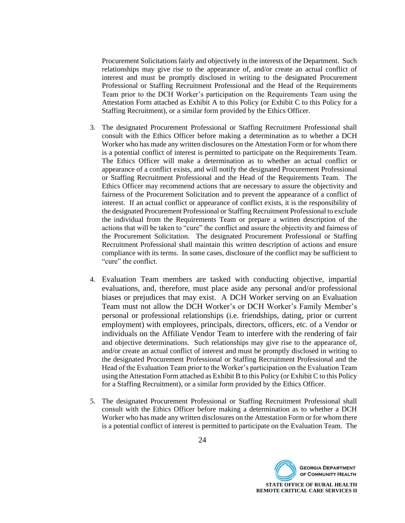Procurement Solicitations fairly and objectively in the interests of the Department. Such relationships may give rise to the appearance of, and/or create an actual conflict of interest and must be promptly disclosed in writing to the designated Procurement Professional or Staffing Recruitment Professional and the Head of the Requirements Team prior to the DCH Worker's participation on the Requirements Team using the Attestation Form attached as Exhibit A to this Policy (or Exhibit C to this Policy for a Staffing Recruitment), or a similar form provided by the Ethics Officer.

- 3. The designated Procurement Professional or Staffing Recruitment Professional shall consult with the Ethics Officer before making a determination as to whether a DCH Worker who has made any written disclosures on the Attestation Form or for whom there is a potential conflict of interest is permitted to participate on the Requirements Team. The Ethics Officer will make a determination as to whether an actual conflict or appearance of a conflict exists, and will notify the designated Procurement Professional or Staffing Recruitment Professional and the Head of the Requirements Team. The Ethics Officer may recommend actions that are necessary to assure the objectivity and fairness of the Procurement Solicitation and to prevent the appearance of a conflict of interest. If an actual conflict or appearance of conflict exists, it is the responsibility of the designated Procurement Professional or Staffing Recruitment Professional to exclude the individual from the Requirements Team or prepare a written description of the actions that will be taken to "cure" the conflict and assure the objectivity and fairness of the Procurement Solicitation. The designated Procurement Professional or Staffing Recruitment Professional shall maintain this written description of actions and ensure compliance with its terms. In some cases, disclosure of the conflict may be sufficient to "cure" the conflict.
- 4. Evaluation Team members are tasked with conducting objective, impartial evaluations, and, therefore, must place aside any personal and/or professional biases or prejudices that may exist. A DCH Worker serving on an Evaluation Team must not allow the DCH Worker's or DCH Worker's Family Member's personal or professional relationships (i.e. friendships, dating, prior or current employment) with employees, principals, directors, officers, etc. of a Vendor or individuals on the Affiliate Vendor Team to interfere with the rendering of fair and objective determinations. Such relationships may give rise to the appearance of, and/or create an actual conflict of interest and must be promptly disclosed in writing to the designated Procurement Professional or Staffing Recruitment Professional and the Head of the Evaluation Team prior to the Worker's participation on the Evaluation Team using the Attestation Form attached as Exhibit B to this Policy (or Exhibit C to this Policy for a Staffing Recruitment), or a similar form provided by the Ethics Officer.
- 5. The designated Procurement Professional or Staffing Recruitment Professional shall consult with the Ethics Officer before making a determination as to whether a DCH Worker who has made any written disclosures on the Attestation Form or for whom there is a potential conflict of interest is permitted to participate on the Evaluation Team. The

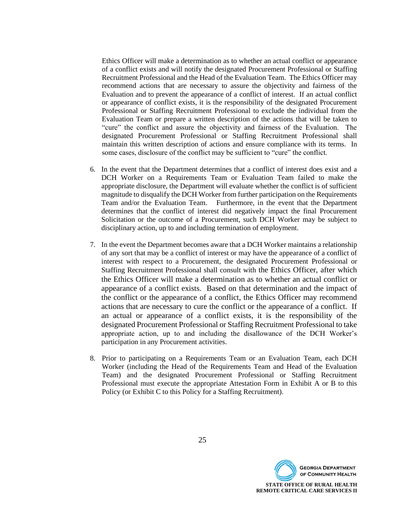Ethics Officer will make a determination as to whether an actual conflict or appearance of a conflict exists and will notify the designated Procurement Professional or Staffing Recruitment Professional and the Head of the Evaluation Team. The Ethics Officer may recommend actions that are necessary to assure the objectivity and fairness of the Evaluation and to prevent the appearance of a conflict of interest. If an actual conflict or appearance of conflict exists, it is the responsibility of the designated Procurement Professional or Staffing Recruitment Professional to exclude the individual from the Evaluation Team or prepare a written description of the actions that will be taken to "cure" the conflict and assure the objectivity and fairness of the Evaluation. The designated Procurement Professional or Staffing Recruitment Professional shall maintain this written description of actions and ensure compliance with its terms. In some cases, disclosure of the conflict may be sufficient to "cure" the conflict.

- 6. In the event that the Department determines that a conflict of interest does exist and a DCH Worker on a Requirements Team or Evaluation Team failed to make the appropriate disclosure, the Department will evaluate whether the conflict is of sufficient magnitude to disqualify the DCH Worker from further participation on the Requirements Team and/or the Evaluation Team. Furthermore, in the event that the Department determines that the conflict of interest did negatively impact the final Procurement Solicitation or the outcome of a Procurement, such DCH Worker may be subject to disciplinary action, up to and including termination of employment.
- 7. In the event the Department becomes aware that a DCH Worker maintains a relationship of any sort that may be a conflict of interest or may have the appearance of a conflict of interest with respect to a Procurement, the designated Procurement Professional or Staffing Recruitment Professional shall consult with the Ethics Officer, after which the Ethics Officer will make a determination as to whether an actual conflict or appearance of a conflict exists. Based on that determination and the impact of the conflict or the appearance of a conflict, the Ethics Officer may recommend actions that are necessary to cure the conflict or the appearance of a conflict. If an actual or appearance of a conflict exists, it is the responsibility of the designated Procurement Professional or Staffing Recruitment Professional to take appropriate action, up to and including the disallowance of the DCH Worker's participation in any Procurement activities.
- 8. Prior to participating on a Requirements Team or an Evaluation Team, each DCH Worker (including the Head of the Requirements Team and Head of the Evaluation Team) and the designated Procurement Professional or Staffing Recruitment Professional must execute the appropriate Attestation Form in Exhibit A or B to this Policy (or Exhibit C to this Policy for a Staffing Recruitment).

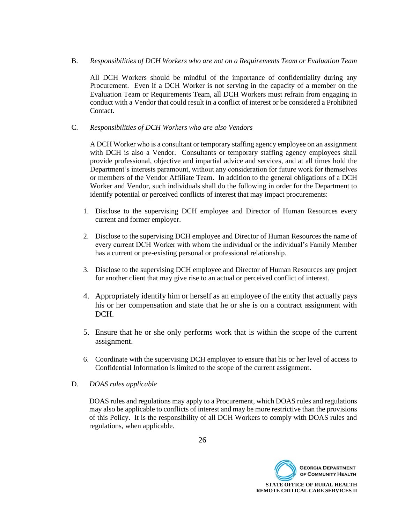B. *Responsibilities of DCH Workers who are not on a Requirements Team or Evaluation Team*

All DCH Workers should be mindful of the importance of confidentiality during any Procurement. Even if a DCH Worker is not serving in the capacity of a member on the Evaluation Team or Requirements Team, all DCH Workers must refrain from engaging in conduct with a Vendor that could result in a conflict of interest or be considered a Prohibited Contact.

C. *Responsibilities of DCH Workers who are also Vendors*

A DCH Worker who is a consultant or temporary staffing agency employee on an assignment with DCH is also a Vendor. Consultants or temporary staffing agency employees shall provide professional, objective and impartial advice and services, and at all times hold the Department's interests paramount, without any consideration for future work for themselves or members of the Vendor Affiliate Team. In addition to the general obligations of a DCH Worker and Vendor, such individuals shall do the following in order for the Department to identify potential or perceived conflicts of interest that may impact procurements:

- 1. Disclose to the supervising DCH employee and Director of Human Resources every current and former employer.
- 2. Disclose to the supervising DCH employee and Director of Human Resources the name of every current DCH Worker with whom the individual or the individual's Family Member has a current or pre-existing personal or professional relationship.
- 3. Disclose to the supervising DCH employee and Director of Human Resources any project for another client that may give rise to an actual or perceived conflict of interest.
- 4. Appropriately identify him or herself as an employee of the entity that actually pays his or her compensation and state that he or she is on a contract assignment with DCH.
- 5. Ensure that he or she only performs work that is within the scope of the current assignment.
- 6. Coordinate with the supervising DCH employee to ensure that his or her level of access to Confidential Information is limited to the scope of the current assignment.
- D. *DOAS rules applicable*

DOAS rules and regulations may apply to a Procurement, which DOAS rules and regulations may also be applicable to conflicts of interest and may be more restrictive than the provisions of this Policy. It is the responsibility of all DCH Workers to comply with DOAS rules and regulations, when applicable.

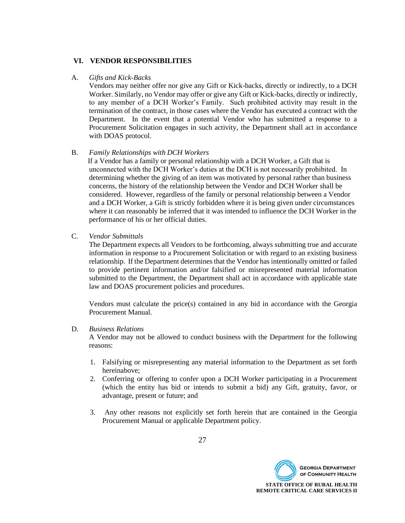### **VI. VENDOR RESPONSIBILITIES**

#### A. *Gifts and Kick-Backs*

Vendors may neither offer nor give any Gift or Kick-backs, directly or indirectly, to a DCH Worker. Similarly, no Vendor may offer or give any Gift or Kick-backs, directly or indirectly, to any member of a DCH Worker's Family. Such prohibited activity may result in the termination of the contract, in those cases where the Vendor has executed a contract with the Department. In the event that a potential Vendor who has submitted a response to a Procurement Solicitation engages in such activity, the Department shall act in accordance with DOAS protocol.

# B. *Family Relationships with DCH Workers*

 If a Vendor has a family or personal relationship with a DCH Worker, a Gift that is unconnected with the DCH Worker's duties at the DCH is not necessarily prohibited. In determining whether the giving of an item was motivated by personal rather than business concerns, the history of the relationship between the Vendor and DCH Worker shall be considered. However, regardless of the family or personal relationship between a Vendor and a DCH Worker, a Gift is strictly forbidden where it is being given under circumstances where it can reasonably be inferred that it was intended to influence the DCH Worker in the performance of his or her official duties.

C. *Vendor Submittals*

The Department expects all Vendors to be forthcoming, always submitting true and accurate information in response to a Procurement Solicitation or with regard to an existing business relationship. If the Department determines that the Vendor has intentionally omitted or failed to provide pertinent information and/or falsified or misrepresented material information submitted to the Department, the Department shall act in accordance with applicable state law and DOAS procurement policies and procedures.

Vendors must calculate the price(s) contained in any bid in accordance with the Georgia Procurement Manual.

#### D. *Business Relations*

A Vendor may not be allowed to conduct business with the Department for the following reasons:

- 1. Falsifying or misrepresenting any material information to the Department as set forth hereinabove;
- 2. Conferring or offering to confer upon a DCH Worker participating in a Procurement (which the entity has bid or intends to submit a bid) any Gift, gratuity, favor, or advantage, present or future; and
- 3. Any other reasons not explicitly set forth herein that are contained in the Georgia Procurement Manual or applicable Department policy.

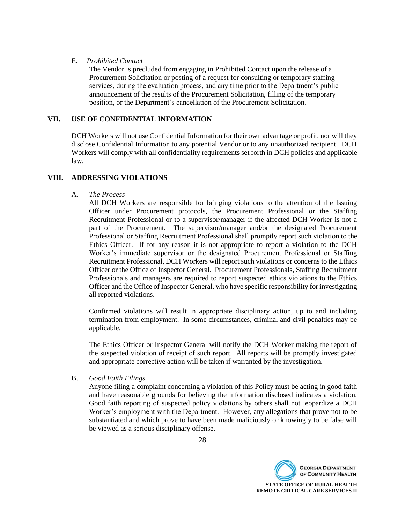### E. *Prohibited Contact*

The Vendor is precluded from engaging in Prohibited Contact upon the release of a Procurement Solicitation or posting of a request for consulting or temporary staffing services, during the evaluation process, and any time prior to the Department's public announcement of the results of the Procurement Solicitation, filling of the temporary position, or the Department's cancellation of the Procurement Solicitation.

# **VII. USE OF CONFIDENTIAL INFORMATION**

DCH Workers will not use Confidential Information for their own advantage or profit, nor will they disclose Confidential Information to any potential Vendor or to any unauthorized recipient. DCH Workers will comply with all confidentiality requirements set forth in DCH policies and applicable law.

# **VIII. ADDRESSING VIOLATIONS**

# A. *The Process*

All DCH Workers are responsible for bringing violations to the attention of the Issuing Officer under Procurement protocols, the Procurement Professional or the Staffing Recruitment Professional or to a supervisor/manager if the affected DCH Worker is not a part of the Procurement. The supervisor/manager and/or the designated Procurement Professional or Staffing Recruitment Professional shall promptly report such violation to the Ethics Officer. If for any reason it is not appropriate to report a violation to the DCH Worker's immediate supervisor or the designated Procurement Professional or Staffing Recruitment Professional, DCH Workers will report such violations or concerns to the Ethics Officer or the Office of Inspector General. Procurement Professionals, Staffing Recruitment Professionals and managers are required to report suspected ethics violations to the Ethics Officer and the Office of Inspector General, who have specific responsibility for investigating all reported violations.

Confirmed violations will result in appropriate disciplinary action, up to and including termination from employment. In some circumstances, criminal and civil penalties may be applicable.

The Ethics Officer or Inspector General will notify the DCH Worker making the report of the suspected violation of receipt of such report. All reports will be promptly investigated and appropriate corrective action will be taken if warranted by the investigation.

#### B. *Good Faith Filings*

Anyone filing a complaint concerning a violation of this Policy must be acting in good faith and have reasonable grounds for believing the information disclosed indicates a violation. Good faith reporting of suspected policy violations by others shall not jeopardize a DCH Worker's employment with the Department. However, any allegations that prove not to be substantiated and which prove to have been made maliciously or knowingly to be false will be viewed as a serious disciplinary offense.

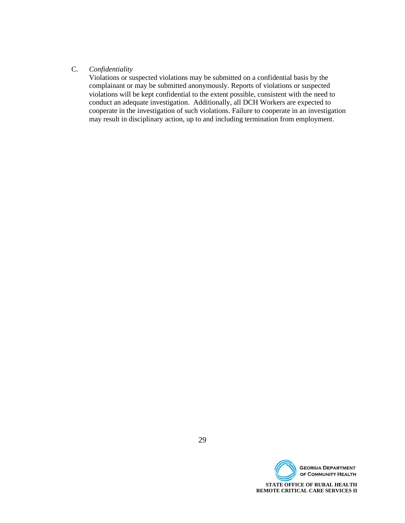## C. *Confidentiality*

Violations or suspected violations may be submitted on a confidential basis by the complainant or may be submitted anonymously. Reports of violations or suspected violations will be kept confidential to the extent possible, consistent with the need to conduct an adequate investigation. Additionally, all DCH Workers are expected to cooperate in the investigation of such violations. Failure to cooperate in an investigation may result in disciplinary action, up to and including termination from employment.

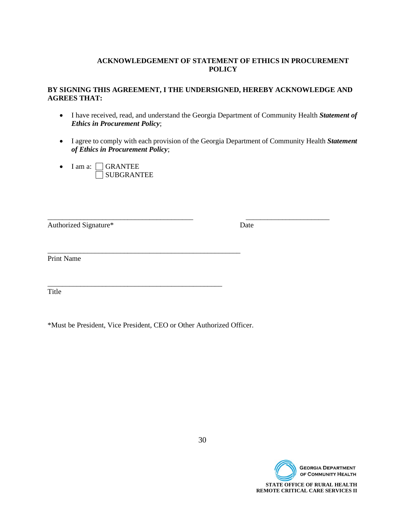# **ACKNOWLEDGEMENT OF STATEMENT OF ETHICS IN PROCUREMENT POLICY**

# **BY SIGNING THIS AGREEMENT, I THE UNDERSIGNED, HEREBY ACKNOWLEDGE AND AGREES THAT:**

- I have received, read, and understand the Georgia Department of Community Health *Statement of Ethics in Procurement Policy*;
- I agree to comply with each provision of the Georgia Department of Community Health *Statement of Ethics in Procurement Policy*;

\_\_\_\_\_\_\_\_\_\_\_\_\_\_\_\_\_\_\_\_\_\_\_\_\_\_\_\_\_\_\_\_\_\_\_\_\_\_\_\_ \_\_\_\_\_\_\_\_\_\_\_\_\_\_\_\_\_\_\_\_\_\_\_

 $\bullet$  I am a:  $\Box$  GRANTEE SUBGRANTEE

Authorized Signature\* Date

Print Name

Title

\*Must be President, Vice President, CEO or Other Authorized Officer.

\_\_\_\_\_\_\_\_\_\_\_\_\_\_\_\_\_\_\_\_\_\_\_\_\_\_\_\_\_\_\_\_\_\_\_\_\_\_\_\_\_\_\_\_\_\_\_\_\_\_\_\_\_

\_\_\_\_\_\_\_\_\_\_\_\_\_\_\_\_\_\_\_\_\_\_\_\_\_\_\_\_\_\_\_\_\_\_\_\_\_\_\_\_\_\_\_\_\_\_\_\_

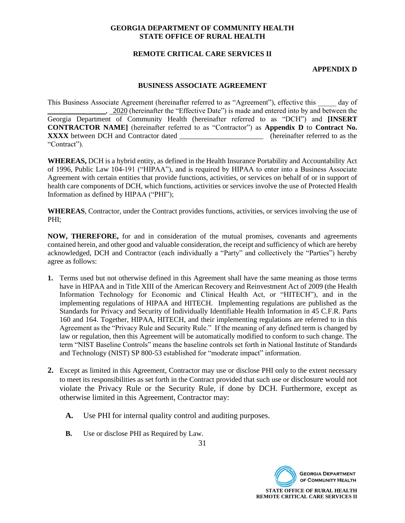# **REMOTE CRITICAL CARE SERVICES II**

#### **APPENDIX D**

#### **BUSINESS ASSOCIATE AGREEMENT**

This Business Associate Agreement (hereinafter referred to as "Agreement"), effective this \_\_\_\_\_ day of \_\_\_\_\_\_\_\_\_\_\_\_\_\_\_\_, 2020 (hereinafter the "Effective Date") is made and entered into by and between the Georgia Department of Community Health (hereinafter referred to as "DCH") and **[INSERT CONTRACTOR NAME]** (hereinafter referred to as "Contractor") as **Appendix D** to **Contract No. XXXX** between DCH and Contractor dated "Contract").

**WHEREAS,** DCH is a hybrid entity, as defined in the Health Insurance Portability and Accountability Act of 1996, Public Law 104-191 ("HIPAA"), and is required by HIPAA to enter into a Business Associate Agreement with certain entities that provide functions, activities, or services on behalf of or in support of health care components of DCH, which functions, activities or services involve the use of Protected Health Information as defined by HIPAA ("PHI");

**WHEREAS**, Contractor, under the Contract provides functions, activities, or services involving the use of PHI;

**NOW, THEREFORE,** for and in consideration of the mutual promises, covenants and agreements contained herein, and other good and valuable consideration, the receipt and sufficiency of which are hereby acknowledged, DCH and Contractor (each individually a "Party" and collectively the "Parties") hereby agree as follows:

- **1.** Terms used but not otherwise defined in this Agreement shall have the same meaning as those terms have in HIPAA and in Title XIII of the American Recovery and Reinvestment Act of 2009 (the Health Information Technology for Economic and Clinical Health Act, or "HITECH"), and in the implementing regulations of HIPAA and HITECH. Implementing regulations are published as the Standards for Privacy and Security of Individually Identifiable Health Information in 45 C.F.R. Parts 160 and 164. Together, HIPAA, HITECH, and their implementing regulations are referred to in this Agreement as the "Privacy Rule and Security Rule." If the meaning of any defined term is changed by law or regulation, then this Agreement will be automatically modified to conform to such change. The term "NIST Baseline Controls" means the baseline controls set forth in National Institute of Standards and Technology (NIST) SP 800-53 established for "moderate impact" information.
- **2.** Except as limited in this Agreement, Contractor may use or disclose PHI only to the extent necessary to meet its responsibilities as set forth in the Contract provided that such use or disclosure would not violate the Privacy Rule or the Security Rule, if done by DCH. Furthermore, except as otherwise limited in this Agreement, Contractor may:
	- **A.** Use PHI for internal quality control and auditing purposes.
	- **B.** Use or disclose PHI as Required by Law.

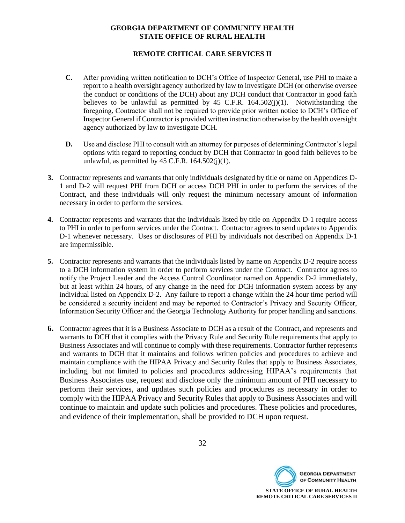# **REMOTE CRITICAL CARE SERVICES II**

- **C.** After providing written notification to DCH's Office of Inspector General, use PHI to make a report to a health oversight agency authorized by law to investigate DCH (or otherwise oversee the conduct or conditions of the DCH) about any DCH conduct that Contractor in good faith believes to be unlawful as permitted by  $45$  C.F.R.  $164.502(i)(1)$ . Notwithstanding the foregoing, Contractor shall not be required to provide prior written notice to DCH's Office of Inspector General if Contractor is provided written instruction otherwise by the health oversight agency authorized by law to investigate DCH.
- **D.** Use and disclose PHI to consult with an attorney for purposes of determining Contractor's legal options with regard to reporting conduct by DCH that Contractor in good faith believes to be unlawful, as permitted by  $45$  C.F.R.  $164.502(i)(1)$ .
- **3.** Contractor represents and warrants that only individuals designated by title or name on Appendices D-1 and D-2 will request PHI from DCH or access DCH PHI in order to perform the services of the Contract, and these individuals will only request the minimum necessary amount of information necessary in order to perform the services.
- **4.** Contractor represents and warrants that the individuals listed by title on Appendix D-1 require access to PHI in order to perform services under the Contract. Contractor agrees to send updates to Appendix D-1 whenever necessary. Uses or disclosures of PHI by individuals not described on Appendix D-1 are impermissible.
- **5.** Contractor represents and warrants that the individuals listed by name on Appendix D-2 require access to a DCH information system in order to perform services under the Contract. Contractor agrees to notify the Project Leader and the Access Control Coordinator named on Appendix D-2 immediately, but at least within 24 hours, of any change in the need for DCH information system access by any individual listed on Appendix D-2. Any failure to report a change within the 24 hour time period will be considered a security incident and may be reported to Contractor's Privacy and Security Officer, Information Security Officer and the Georgia Technology Authority for proper handling and sanctions.
- **6.** Contractor agrees that it is a Business Associate to DCH as a result of the Contract, and represents and warrants to DCH that it complies with the Privacy Rule and Security Rule requirements that apply to Business Associates and will continue to comply with these requirements. Contractor further represents and warrants to DCH that it maintains and follows written policies and procedures to achieve and maintain compliance with the HIPAA Privacy and Security Rules that apply to Business Associates, including, but not limited to policies and procedures addressing HIPAA's requirements that Business Associates use, request and disclose only the minimum amount of PHI necessary to perform their services, and updates such policies and procedures as necessary in order to comply with the HIPAA Privacy and Security Rules that apply to Business Associates and will continue to maintain and update such policies and procedures. These policies and procedures, and evidence of their implementation, shall be provided to DCH upon request.

**REMOTE CRITICAL CARE SERVICES II**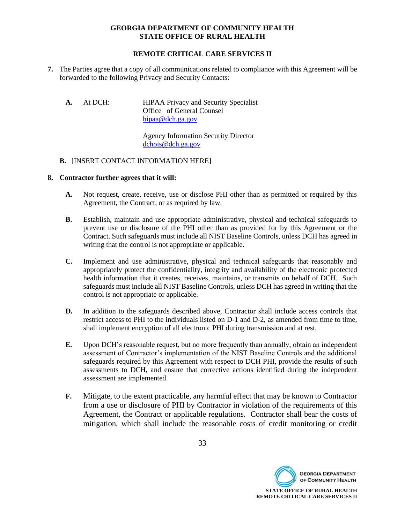# **REMOTE CRITICAL CARE SERVICES II**

- **7.** The Parties agree that a copy of all communications related to compliance with this Agreement will be forwarded to the following Privacy and Security Contacts:
	- A. At DCH: HIPAA Privacy and Security Specialist Office of General Counsel [hipaa@dch.ga.gov](mailto:hipaa@dch.ga.gov)

Agency Information Security Director [dchois@dch.ga.gov](mailto:dchois@dch.ga.gov)

#### **B.** [INSERT CONTACT INFORMATION HERE]

#### **8. Contractor further agrees that it will:**

- **A.** Not request, create, receive, use or disclose PHI other than as permitted or required by this Agreement, the Contract, or as required by law.
- **B.** Establish, maintain and use appropriate administrative, physical and technical safeguards to prevent use or disclosure of the PHI other than as provided for by this Agreement or the Contract. Such safeguards must include all NIST Baseline Controls, unless DCH has agreed in writing that the control is not appropriate or applicable.
- **C.** Implement and use administrative, physical and technical safeguards that reasonably and appropriately protect the confidentiality, integrity and availability of the electronic protected health information that it creates, receives, maintains, or transmits on behalf of DCH. Such safeguards must include all NIST Baseline Controls, unless DCH has agreed in writing that the control is not appropriate or applicable.
- **D.** In addition to the safeguards described above, Contractor shall include access controls that restrict access to PHI to the individuals listed on D-1 and D-2, as amended from time to time, shall implement encryption of all electronic PHI during transmission and at rest.
- **E.** Upon DCH's reasonable request, but no more frequently than annually, obtain an independent assessment of Contractor's implementation of the NIST Baseline Controls and the additional safeguards required by this Agreement with respect to DCH PHI, provide the results of such assessments to DCH, and ensure that corrective actions identified during the independent assessment are implemented.
- **F.** Mitigate, to the extent practicable, any harmful effect that may be known to Contractor from a use or disclosure of PHI by Contractor in violation of the requirements of this Agreement, the Contract or applicable regulations. Contractor shall bear the costs of mitigation, which shall include the reasonable costs of credit monitoring or credit

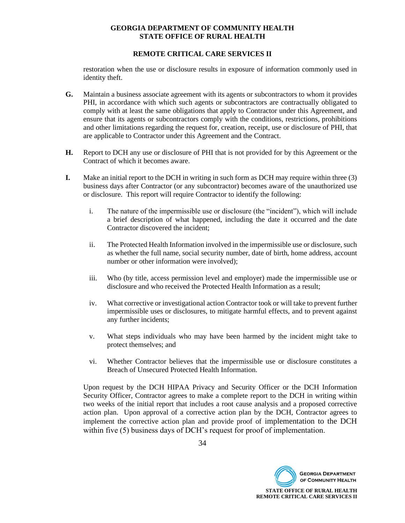# **REMOTE CRITICAL CARE SERVICES II**

restoration when the use or disclosure results in exposure of information commonly used in identity theft.

- **G.** Maintain a business associate agreement with its agents or subcontractors to whom it provides PHI, in accordance with which such agents or subcontractors are contractually obligated to comply with at least the same obligations that apply to Contractor under this Agreement, and ensure that its agents or subcontractors comply with the conditions, restrictions, prohibitions and other limitations regarding the request for, creation, receipt, use or disclosure of PHI, that are applicable to Contractor under this Agreement and the Contract.
- **H.** Report to DCH any use or disclosure of PHI that is not provided for by this Agreement or the Contract of which it becomes aware.
- **I.** Make an initial report to the DCH in writing in such form as DCH may require within three (3) business days after Contractor (or any subcontractor) becomes aware of the unauthorized use or disclosure. This report will require Contractor to identify the following:
	- i. The nature of the impermissible use or disclosure (the "incident"), which will include a brief description of what happened, including the date it occurred and the date Contractor discovered the incident;
	- ii. The Protected Health Information involved in the impermissible use or disclosure, such as whether the full name, social security number, date of birth, home address, account number or other information were involved);
	- iii. Who (by title, access permission level and employer) made the impermissible use or disclosure and who received the Protected Health Information as a result;
	- iv. What corrective or investigational action Contractor took or will take to prevent further impermissible uses or disclosures, to mitigate harmful effects, and to prevent against any further incidents;
	- v. What steps individuals who may have been harmed by the incident might take to protect themselves; and
	- vi. Whether Contractor believes that the impermissible use or disclosure constitutes a Breach of Unsecured Protected Health Information.

Upon request by the DCH HIPAA Privacy and Security Officer or the DCH Information Security Officer, Contractor agrees to make a complete report to the DCH in writing within two weeks of the initial report that includes a root cause analysis and a proposed corrective action plan. Upon approval of a corrective action plan by the DCH, Contractor agrees to implement the corrective action plan and provide proof of implementation to the DCH within five (5) business days of DCH's request for proof of implementation.

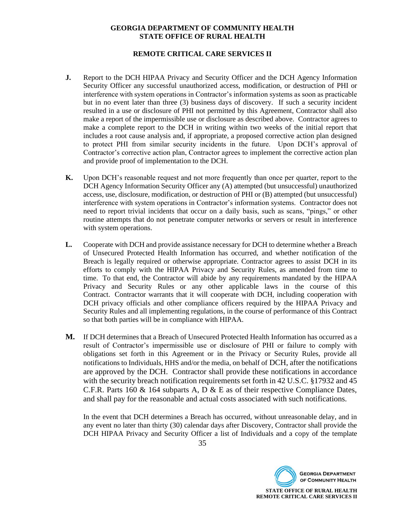# **REMOTE CRITICAL CARE SERVICES II**

- **J.** Report to the DCH HIPAA Privacy and Security Officer and the DCH Agency Information Security Officer any successful unauthorized access, modification, or destruction of PHI or interference with system operations in Contractor's information systems as soon as practicable but in no event later than three (3) business days of discovery. If such a security incident resulted in a use or disclosure of PHI not permitted by this Agreement, Contractor shall also make a report of the impermissible use or disclosure as described above. Contractor agrees to make a complete report to the DCH in writing within two weeks of the initial report that includes a root cause analysis and, if appropriate, a proposed corrective action plan designed to protect PHI from similar security incidents in the future. Upon DCH's approval of Contractor's corrective action plan, Contractor agrees to implement the corrective action plan and provide proof of implementation to the DCH.
- **K.** Upon DCH's reasonable request and not more frequently than once per quarter, report to the DCH Agency Information Security Officer any (A) attempted (but unsuccessful) unauthorized access, use, disclosure, modification, or destruction of PHI or (B) attempted (but unsuccessful) interference with system operations in Contractor's information systems. Contractor does not need to report trivial incidents that occur on a daily basis, such as scans, "pings," or other routine attempts that do not penetrate computer networks or servers or result in interference with system operations.
- **L.** Cooperate with DCH and provide assistance necessary for DCH to determine whether a Breach of Unsecured Protected Health Information has occurred, and whether notification of the Breach is legally required or otherwise appropriate. Contractor agrees to assist DCH in its efforts to comply with the HIPAA Privacy and Security Rules, as amended from time to time. To that end, the Contractor will abide by any requirements mandated by the HIPAA Privacy and Security Rules or any other applicable laws in the course of this Contract. Contractor warrants that it will cooperate with DCH, including cooperation with DCH privacy officials and other compliance officers required by the HIPAA Privacy and Security Rules and all implementing regulations, in the course of performance of this Contract so that both parties will be in compliance with HIPAA.
- **M.** If DCH determines that a Breach of Unsecured Protected Health Information has occurred as a result of Contractor's impermissible use or disclosure of PHI or failure to comply with obligations set forth in this Agreement or in the Privacy or Security Rules, provide all notifications to Individuals, HHS and/or the media, on behalf of DCH, after the notifications are approved by the DCH. Contractor shall provide these notifications in accordance with the security breach notification requirements set forth in 42 U.S.C. §17932 and 45 C.F.R. Parts 160  $\&$  164 subparts A, D  $\&$  E as of their respective Compliance Dates, and shall pay for the reasonable and actual costs associated with such notifications.

In the event that DCH determines a Breach has occurred, without unreasonable delay, and in any event no later than thirty (30) calendar days after Discovery, Contractor shall provide the DCH HIPAA Privacy and Security Officer a list of Individuals and a copy of the template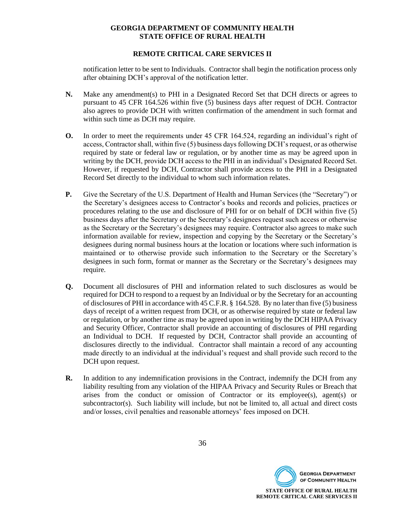# **REMOTE CRITICAL CARE SERVICES II**

notification letter to be sent to Individuals. Contractor shall begin the notification process only after obtaining DCH's approval of the notification letter.

- **N.** Make any amendment(s) to PHI in a Designated Record Set that DCH directs or agrees to pursuant to 45 CFR 164.526 within five (5) business days after request of DCH. Contractor also agrees to provide DCH with written confirmation of the amendment in such format and within such time as DCH may require.
- **O.** In order to meet the requirements under 45 CFR 164.524, regarding an individual's right of access, Contractor shall, within five (5) business days following DCH's request, or as otherwise required by state or federal law or regulation, or by another time as may be agreed upon in writing by the DCH, provide DCH access to the PHI in an individual's Designated Record Set. However, if requested by DCH, Contractor shall provide access to the PHI in a Designated Record Set directly to the individual to whom such information relates.
- **P.** Give the Secretary of the U.S. Department of Health and Human Services (the "Secretary") or the Secretary's designees access to Contractor's books and records and policies, practices or procedures relating to the use and disclosure of PHI for or on behalf of DCH within five (5) business days after the Secretary or the Secretary's designees request such access or otherwise as the Secretary or the Secretary's designees may require. Contractor also agrees to make such information available for review, inspection and copying by the Secretary or the Secretary's designees during normal business hours at the location or locations where such information is maintained or to otherwise provide such information to the Secretary or the Secretary's designees in such form, format or manner as the Secretary or the Secretary's designees may require.
- **Q.** Document all disclosures of PHI and information related to such disclosures as would be required for DCH to respond to a request by an Individual or by the Secretary for an accounting of disclosures of PHI in accordance with 45 C.F.R. § 164.528. By no later than five (5) business days of receipt of a written request from DCH, or as otherwise required by state or federal law or regulation, or by another time as may be agreed upon in writing by the DCH HIPAA Privacy and Security Officer, Contractor shall provide an accounting of disclosures of PHI regarding an Individual to DCH. If requested by DCH, Contractor shall provide an accounting of disclosures directly to the individual. Contractor shall maintain a record of any accounting made directly to an individual at the individual's request and shall provide such record to the DCH upon request.
- **R.** In addition to any indemnification provisions in the Contract, indemnify the DCH from any liability resulting from any violation of the HIPAA Privacy and Security Rules or Breach that arises from the conduct or omission of Contractor or its employee(s), agent(s) or subcontractor(s). Such liability will include, but not be limited to, all actual and direct costs and/or losses, civil penalties and reasonable attorneys' fees imposed on DCH.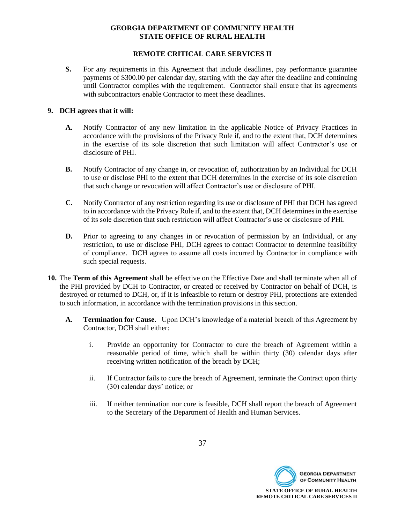# **REMOTE CRITICAL CARE SERVICES II**

**S.** For any requirements in this Agreement that include deadlines, pay performance guarantee payments of \$300.00 per calendar day, starting with the day after the deadline and continuing until Contractor complies with the requirement. Contractor shall ensure that its agreements with subcontractors enable Contractor to meet these deadlines.

#### **9. DCH agrees that it will:**

- **A.** Notify Contractor of any new limitation in the applicable Notice of Privacy Practices in accordance with the provisions of the Privacy Rule if, and to the extent that, DCH determines in the exercise of its sole discretion that such limitation will affect Contractor's use or disclosure of PHI.
- **B.** Notify Contractor of any change in, or revocation of, authorization by an Individual for DCH to use or disclose PHI to the extent that DCH determines in the exercise of its sole discretion that such change or revocation will affect Contractor's use or disclosure of PHI.
- **C.** Notify Contractor of any restriction regarding its use or disclosure of PHI that DCH has agreed to in accordance with the Privacy Rule if, and to the extent that, DCH determines in the exercise of its sole discretion that such restriction will affect Contractor's use or disclosure of PHI.
- **D.** Prior to agreeing to any changes in or revocation of permission by an Individual, or any restriction, to use or disclose PHI, DCH agrees to contact Contractor to determine feasibility of compliance. DCH agrees to assume all costs incurred by Contractor in compliance with such special requests.
- **10.** The **Term of this Agreement** shall be effective on the Effective Date and shall terminate when all of the PHI provided by DCH to Contractor, or created or received by Contractor on behalf of DCH, is destroyed or returned to DCH, or, if it is infeasible to return or destroy PHI, protections are extended to such information, in accordance with the termination provisions in this section.
	- **A. Termination for Cause.** Upon DCH's knowledge of a material breach of this Agreement by Contractor, DCH shall either:
		- i. Provide an opportunity for Contractor to cure the breach of Agreement within a reasonable period of time, which shall be within thirty (30) calendar days after receiving written notification of the breach by DCH;
		- ii. If Contractor fails to cure the breach of Agreement, terminate the Contract upon thirty (30) calendar days' notice; or
		- iii. If neither termination nor cure is feasible, DCH shall report the breach of Agreement to the Secretary of the Department of Health and Human Services.

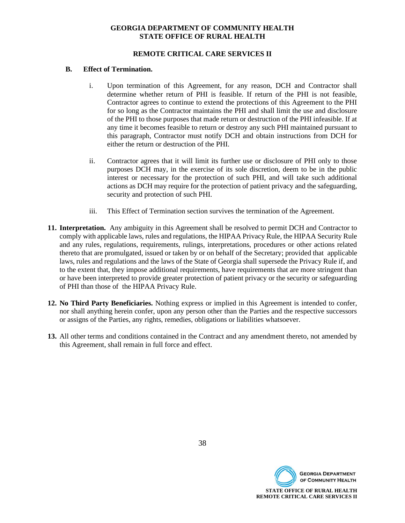# **REMOTE CRITICAL CARE SERVICES II**

#### **B. Effect of Termination.**

- i. Upon termination of this Agreement, for any reason, DCH and Contractor shall determine whether return of PHI is feasible. If return of the PHI is not feasible, Contractor agrees to continue to extend the protections of this Agreement to the PHI for so long as the Contractor maintains the PHI and shall limit the use and disclosure of the PHI to those purposes that made return or destruction of the PHI infeasible. If at any time it becomes feasible to return or destroy any such PHI maintained pursuant to this paragraph, Contractor must notify DCH and obtain instructions from DCH for either the return or destruction of the PHI.
- ii. Contractor agrees that it will limit its further use or disclosure of PHI only to those purposes DCH may, in the exercise of its sole discretion, deem to be in the public interest or necessary for the protection of such PHI, and will take such additional actions as DCH may require for the protection of patient privacy and the safeguarding, security and protection of such PHI.
- iii. This Effect of Termination section survives the termination of the Agreement.
- **11. Interpretation.** Any ambiguity in this Agreement shall be resolved to permit DCH and Contractor to comply with applicable laws, rules and regulations, the HIPAA Privacy Rule, the HIPAA Security Rule and any rules, regulations, requirements, rulings, interpretations, procedures or other actions related thereto that are promulgated, issued or taken by or on behalf of the Secretary; provided that applicable laws, rules and regulations and the laws of the State of Georgia shall supersede the Privacy Rule if, and to the extent that, they impose additional requirements, have requirements that are more stringent than or have been interpreted to provide greater protection of patient privacy or the security or safeguarding of PHI than those of the HIPAA Privacy Rule.
- **12. No Third Party Beneficiaries.** Nothing express or implied in this Agreement is intended to confer, nor shall anything herein confer, upon any person other than the Parties and the respective successors or assigns of the Parties, any rights, remedies, obligations or liabilities whatsoever.
- **13.** All other terms and conditions contained in the Contract and any amendment thereto, not amended by this Agreement, shall remain in full force and effect.

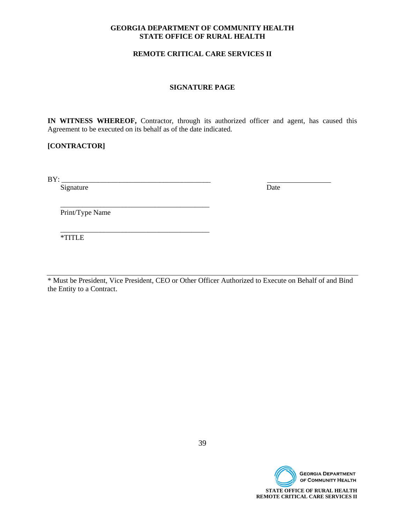# **REMOTE CRITICAL CARE SERVICES II**

#### **SIGNATURE PAGE**

**IN WITNESS WHEREOF,** Contractor, through its authorized officer and agent, has caused this Agreement to be executed on its behalf as of the date indicated.

# **[CONTRACTOR]**

BY: \_\_\_\_\_\_\_\_\_\_\_\_\_\_\_\_\_\_\_\_\_\_\_\_\_\_\_\_\_\_\_\_\_\_\_\_\_\_\_\_\_

Signature Date

Print/Type Name

 $\frac{1}{\sqrt{2}}$  ,  $\frac{1}{\sqrt{2}}$  ,  $\frac{1}{\sqrt{2}}$  ,  $\frac{1}{\sqrt{2}}$  ,  $\frac{1}{\sqrt{2}}$  ,  $\frac{1}{\sqrt{2}}$  ,  $\frac{1}{\sqrt{2}}$  ,  $\frac{1}{\sqrt{2}}$  ,  $\frac{1}{\sqrt{2}}$  ,  $\frac{1}{\sqrt{2}}$  ,  $\frac{1}{\sqrt{2}}$  ,  $\frac{1}{\sqrt{2}}$  ,  $\frac{1}{\sqrt{2}}$  ,  $\frac{1}{\sqrt{2}}$  ,  $\frac{1}{\sqrt{2}}$ 

 $\frac{1}{\sqrt{2}}$  ,  $\frac{1}{\sqrt{2}}$  ,  $\frac{1}{\sqrt{2}}$  ,  $\frac{1}{\sqrt{2}}$  ,  $\frac{1}{\sqrt{2}}$  ,  $\frac{1}{\sqrt{2}}$  ,  $\frac{1}{\sqrt{2}}$  ,  $\frac{1}{\sqrt{2}}$  ,  $\frac{1}{\sqrt{2}}$  ,  $\frac{1}{\sqrt{2}}$  ,  $\frac{1}{\sqrt{2}}$  ,  $\frac{1}{\sqrt{2}}$  ,  $\frac{1}{\sqrt{2}}$  ,  $\frac{1}{\sqrt{2}}$  ,  $\frac{1}{\sqrt{2}}$ 

\*TITLE

\* Must be President, Vice President, CEO or Other Officer Authorized to Execute on Behalf of and Bind the Entity to a Contract.

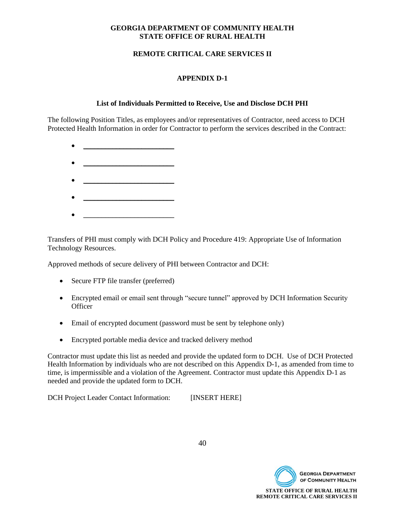# **REMOTE CRITICAL CARE SERVICES II**

# **APPENDIX D-1**

# **List of Individuals Permitted to Receive, Use and Disclose DCH PHI**

The following Position Titles, as employees and/or representatives of Contractor, need access to DCH Protected Health Information in order for Contractor to perform the services described in the Contract:

- $\bullet$   $\qquad \qquad$
- $\overline{\phantom{a}}$  , and the set of the set of the set of the set of the set of the set of the set of the set of the set of the set of the set of the set of the set of the set of the set of the set of the set of the set of the s
- 
- $\mathcal{L}=\{1,2,3,4,5\}$  , where  $\mathcal{L}=\{1,2,3,4,5\}$  , where  $\mathcal{L}=\{1,2,3,4,5\}$
- $\bullet$   $\qquad \qquad$

Transfers of PHI must comply with DCH Policy and Procedure 419: Appropriate Use of Information Technology Resources.

Approved methods of secure delivery of PHI between Contractor and DCH:

- Secure FTP file transfer (preferred)
- Encrypted email or email sent through "secure tunnel" approved by DCH Information Security **Officer**
- Email of encrypted document (password must be sent by telephone only)
- Encrypted portable media device and tracked delivery method

Contractor must update this list as needed and provide the updated form to DCH. Use of DCH Protected Health Information by individuals who are not described on this Appendix D-1, as amended from time to time, is impermissible and a violation of the Agreement. Contractor must update this Appendix D-1 as needed and provide the updated form to DCH.

DCH Project Leader Contact Information: [INSERT HERE]



40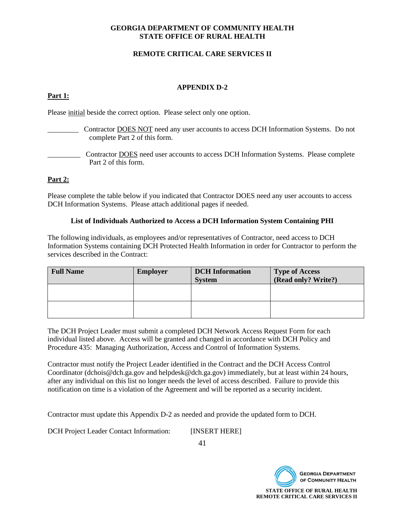# **REMOTE CRITICAL CARE SERVICES II**

# **APPENDIX D-2**

# **Part 1:**

Please initial beside the correct option. Please select only one option.

- Contractor **DOES NOT** need any user accounts to access DCH Information Systems. Do not complete Part 2 of this form.
- \_\_\_\_\_\_\_\_\_ Contractor DOES need user accounts to access DCH Information Systems. Please complete Part 2 of this form.

# **Part 2:**

Please complete the table below if you indicated that Contractor DOES need any user accounts to access DCH Information Systems. Please attach additional pages if needed.

#### **List of Individuals Authorized to Access a DCH Information System Containing PHI**

The following individuals, as employees and/or representatives of Contractor, need access to DCH Information Systems containing DCH Protected Health Information in order for Contractor to perform the services described in the Contract:

| <b>Full Name</b> | <b>Employer</b> | <b>DCH</b> Information<br><b>System</b> | <b>Type of Access</b><br>(Read only? Write?) |
|------------------|-----------------|-----------------------------------------|----------------------------------------------|
|                  |                 |                                         |                                              |
|                  |                 |                                         |                                              |

The DCH Project Leader must submit a completed DCH Network Access Request Form for each individual listed above. Access will be granted and changed in accordance with DCH Policy and Procedure 435: Managing Authorization, Access and Control of Information Systems.

Contractor must notify the Project Leader identified in the Contract and the DCH Access Control Coordinator (dchois@dch.ga.gov and helpdesk@dch.ga.gov) immediately, but at least within 24 hours, after any individual on this list no longer needs the level of access described. Failure to provide this notification on time is a violation of the Agreement and will be reported as a security incident.

Contractor must update this Appendix D-2 as needed and provide the updated form to DCH.

DCH Project Leader Contact Information: [INSERT HERE]

41

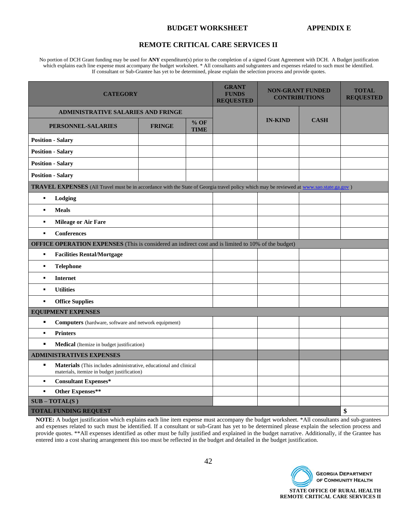#### **BUDGET WORKSHEET APPENDIX E**

#### **REMOTE CRITICAL CARE SERVICES II**

No portion of DCH Grant funding may be used for **ANY** expenditure(s) prior to the completion of a signed Grant Agreement with DCH. A Budget justification which explains each line expense must accompany the budget worksheet. \* All consultants and subgrantees and expenses related to such must be identified. If consultant or Sub-Grantee has yet to be determined, please explain the selection process and provide quotes.

| <b>CATEGORY</b>                                                                                                                          |               |                       | <b>GRANT</b><br><b>FUNDS</b><br><b>REQUESTED</b> | <b>NON-GRANT FUNDED</b><br><b>CONTRIBUTIONS</b> |             | <b>TOTAL</b><br><b>REQUESTED</b> |
|------------------------------------------------------------------------------------------------------------------------------------------|---------------|-----------------------|--------------------------------------------------|-------------------------------------------------|-------------|----------------------------------|
| <b>ADMINISTRATIVE SALARIES AND FRINGE</b>                                                                                                |               |                       |                                                  |                                                 |             |                                  |
| PERSONNEL-SALARIES                                                                                                                       | <b>FRINGE</b> | $%$ OF<br><b>TIME</b> |                                                  | <b>IN-KIND</b>                                  | <b>CASH</b> |                                  |
| <b>Position - Salary</b>                                                                                                                 |               |                       |                                                  |                                                 |             |                                  |
| <b>Position - Salary</b>                                                                                                                 |               |                       |                                                  |                                                 |             |                                  |
| <b>Position - Salary</b>                                                                                                                 |               |                       |                                                  |                                                 |             |                                  |
| <b>Position - Salary</b>                                                                                                                 |               |                       |                                                  |                                                 |             |                                  |
| TRAVEL EXPENSES (All Travel must be in accordance with the State of Georgia travel policy which may be reviewed at www.sao.state.ga.gov) |               |                       |                                                  |                                                 |             |                                  |
| Lodging<br>$\blacksquare$                                                                                                                |               |                       |                                                  |                                                 |             |                                  |
| <b>Meals</b><br>$\blacksquare$                                                                                                           |               |                       |                                                  |                                                 |             |                                  |
| <b>Mileage or Air Fare</b><br>$\blacksquare$                                                                                             |               |                       |                                                  |                                                 |             |                                  |
| <b>Conferences</b><br>$\blacksquare$                                                                                                     |               |                       |                                                  |                                                 |             |                                  |
| <b>OFFICE OPERATION EXPENSES</b> (This is considered an indirect cost and is limited to 10% of the budget)                               |               |                       |                                                  |                                                 |             |                                  |
| $\blacksquare$<br><b>Facilities Rental/Mortgage</b>                                                                                      |               |                       |                                                  |                                                 |             |                                  |
| <b>Telephone</b><br>$\blacksquare$                                                                                                       |               |                       |                                                  |                                                 |             |                                  |
| <b>Internet</b><br>$\blacksquare$                                                                                                        |               |                       |                                                  |                                                 |             |                                  |
| <b>Utilities</b><br>$\blacksquare$                                                                                                       |               |                       |                                                  |                                                 |             |                                  |
| <b>Office Supplies</b><br>$\blacksquare$                                                                                                 |               |                       |                                                  |                                                 |             |                                  |
| <b>EQUIPMENT EXPENSES</b>                                                                                                                |               |                       |                                                  |                                                 |             |                                  |
| $\blacksquare$<br><b>Computers</b> (hardware, software and network equipment)                                                            |               |                       |                                                  |                                                 |             |                                  |
| <b>Printers</b><br>$\blacksquare$                                                                                                        |               |                       |                                                  |                                                 |             |                                  |
| $\blacksquare$<br>Medical (Itemize in budget justification)                                                                              |               |                       |                                                  |                                                 |             |                                  |
| <b>ADMINISTRATIVES EXPENSES</b>                                                                                                          |               |                       |                                                  |                                                 |             |                                  |
| $\blacksquare$<br>Materials (This includes administrative, educational and clinical<br>materials, itemize in budget justification)       |               |                       |                                                  |                                                 |             |                                  |
| <b>Consultant Expenses*</b><br>٠                                                                                                         |               |                       |                                                  |                                                 |             |                                  |
| <b>Other Expenses**</b><br>$\blacksquare$                                                                                                |               |                       |                                                  |                                                 |             |                                  |
| $SUB - TOTAL(S)$                                                                                                                         |               |                       |                                                  |                                                 |             |                                  |
| \$<br><b>TOTAL FUNDING REQUEST</b>                                                                                                       |               |                       |                                                  |                                                 |             |                                  |

**NOTE:** A budget justification which explains each line item expense must accompany the budget worksheet. \*All consultants and sub-grantees and expenses related to such must be identified. If a consultant or sub-Grant has yet to be determined please explain the selection process and provide quotes. \*\*All expenses identified as other must be fully justified and explained in the budget narrative. Additionally, if the Grantee has entered into a cost sharing arrangement this too must be reflected in the budget and detailed in the budget justification.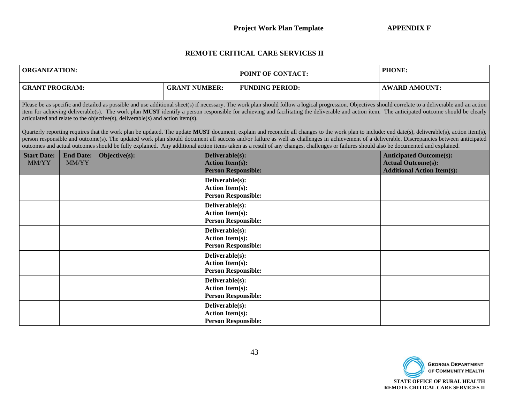# **REMOTE CRITICAL CARE SERVICES II**

| <b>ORGANIZATION:</b>        |                                                                                                                                                                                                                                                                                                                                                                                                                                                                                                                                                                                                                                                                                                                                                                                                                                                                                                                                                                                                                                                                                         |               |                      |                                           | POINT OF CONTACT:          | PHONE:                                                                                           |  |  |  |
|-----------------------------|-----------------------------------------------------------------------------------------------------------------------------------------------------------------------------------------------------------------------------------------------------------------------------------------------------------------------------------------------------------------------------------------------------------------------------------------------------------------------------------------------------------------------------------------------------------------------------------------------------------------------------------------------------------------------------------------------------------------------------------------------------------------------------------------------------------------------------------------------------------------------------------------------------------------------------------------------------------------------------------------------------------------------------------------------------------------------------------------|---------------|----------------------|-------------------------------------------|----------------------------|--------------------------------------------------------------------------------------------------|--|--|--|
|                             | <b>GRANT PROGRAM:</b>                                                                                                                                                                                                                                                                                                                                                                                                                                                                                                                                                                                                                                                                                                                                                                                                                                                                                                                                                                                                                                                                   |               | <b>GRANT NUMBER:</b> |                                           | <b>FUNDING PERIOD:</b>     | <b>AWARD AMOUNT:</b>                                                                             |  |  |  |
|                             | Please be as specific and detailed as possible and use additional sheet(s) if necessary. The work plan should follow a logical progression. Objectives should correlate to a deliverable and an action<br>item for achieving deliverable(s). The work plan MUST identify a person responsible for achieving and facilitating the deliverable and action item. The anticipated outcome should be clearly<br>articulated and relate to the objective(s), deliverable(s) and action item(s).<br>Quarterly reporting requires that the work plan be updated. The update MUST document, explain and reconcile all changes to the work plan to include: end date(s), deliverable(s), action item(s),<br>person responsible and outcome(s). The updated work plan should document all success and/or failure as well as challenges in achievement of a deliverable. Discrepancies between anticipated<br>outcomes and actual outcomes should be fully explained. Any additional action items taken as a result of any changes, challenges or failures should also be documented and explained. |               |                      |                                           |                            |                                                                                                  |  |  |  |
| <b>Start Date:</b><br>MM/YY | <b>End Date:</b><br>MM/YY                                                                                                                                                                                                                                                                                                                                                                                                                                                                                                                                                                                                                                                                                                                                                                                                                                                                                                                                                                                                                                                               | Objective(s): |                      | Deliverable(s):<br><b>Action Item(s):</b> | <b>Person Responsible:</b> | <b>Anticipated Outcome(s):</b><br><b>Actual Outcome(s):</b><br><b>Additional Action Item(s):</b> |  |  |  |
|                             |                                                                                                                                                                                                                                                                                                                                                                                                                                                                                                                                                                                                                                                                                                                                                                                                                                                                                                                                                                                                                                                                                         |               |                      | Deliverable(s):<br><b>Action Item(s):</b> | <b>Person Responsible:</b> |                                                                                                  |  |  |  |
|                             |                                                                                                                                                                                                                                                                                                                                                                                                                                                                                                                                                                                                                                                                                                                                                                                                                                                                                                                                                                                                                                                                                         |               |                      | Deliverable(s):<br><b>Action Item(s):</b> | <b>Person Responsible:</b> |                                                                                                  |  |  |  |
|                             |                                                                                                                                                                                                                                                                                                                                                                                                                                                                                                                                                                                                                                                                                                                                                                                                                                                                                                                                                                                                                                                                                         |               |                      | Deliverable(s):<br><b>Action Item(s):</b> | <b>Person Responsible:</b> |                                                                                                  |  |  |  |
|                             |                                                                                                                                                                                                                                                                                                                                                                                                                                                                                                                                                                                                                                                                                                                                                                                                                                                                                                                                                                                                                                                                                         |               |                      | Deliverable(s):<br><b>Action Item(s):</b> | <b>Person Responsible:</b> |                                                                                                  |  |  |  |
|                             |                                                                                                                                                                                                                                                                                                                                                                                                                                                                                                                                                                                                                                                                                                                                                                                                                                                                                                                                                                                                                                                                                         |               |                      | Deliverable(s):<br><b>Action Item(s):</b> | <b>Person Responsible:</b> |                                                                                                  |  |  |  |
|                             |                                                                                                                                                                                                                                                                                                                                                                                                                                                                                                                                                                                                                                                                                                                                                                                                                                                                                                                                                                                                                                                                                         |               |                      | Deliverable(s):<br><b>Action Item(s):</b> | <b>Person Responsible:</b> |                                                                                                  |  |  |  |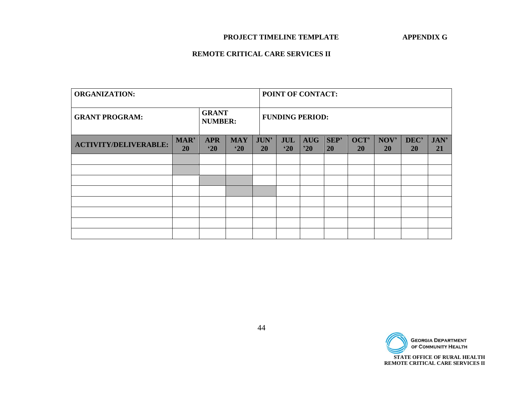# **PROJECT TIMELINE TEMPLATE APPENDIX G**

# **REMOTE CRITICAL CARE SERVICES II**

| <b>ORGANIZATION:</b>         |                                |                            |                            | POINT OF CONTACT:        |                            |                            |            |                   |                   |                   |                   |
|------------------------------|--------------------------------|----------------------------|----------------------------|--------------------------|----------------------------|----------------------------|------------|-------------------|-------------------|-------------------|-------------------|
| <b>GRANT PROGRAM:</b>        | <b>GRANT</b><br><b>NUMBER:</b> |                            |                            | <b>FUNDING PERIOD:</b>   |                            |                            |            |                   |                   |                   |                   |
| <b>ACTIVITY/DELIVERABLE:</b> | MAR'<br>20                     | <b>APR</b><br>$^{\circ}20$ | <b>MAY</b><br>$^{\circ}20$ | <b>JUN'</b><br><b>20</b> | <b>JUL</b><br>$^{\circ}20$ | <b>AUG</b><br>$20^{\circ}$ | SEP'<br>20 | OCT'<br><b>20</b> | NOV'<br><b>20</b> | DEC'<br><b>20</b> | JAN'<br><b>21</b> |
|                              |                                |                            |                            |                          |                            |                            |            |                   |                   |                   |                   |
|                              |                                |                            |                            |                          |                            |                            |            |                   |                   |                   |                   |
|                              |                                |                            |                            |                          |                            |                            |            |                   |                   |                   |                   |
|                              |                                |                            |                            |                          |                            |                            |            |                   |                   |                   |                   |
|                              |                                |                            |                            |                          |                            |                            |            |                   |                   |                   |                   |
|                              |                                |                            |                            |                          |                            |                            |            |                   |                   |                   |                   |
|                              |                                |                            |                            |                          |                            |                            |            |                   |                   |                   |                   |
|                              |                                |                            |                            |                          |                            |                            |            |                   |                   |                   |                   |

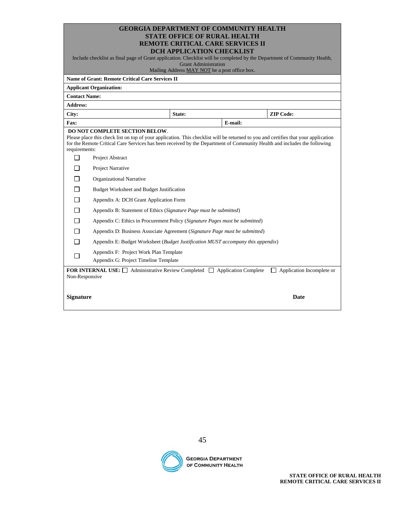| <b>GEORGIA DEPARTMENT OF COMMUNITY HEALTH</b> |
|-----------------------------------------------|
| <b>STATE OFFICE OF RURAL HEALTH</b>           |
| <b>REMOTE CRITICAL CARE SERVICES II</b>       |
| DCU ADDI ICATION CURCKI IST                   |

| DCH APPLICATION CHECKLIST                                                                                                |
|--------------------------------------------------------------------------------------------------------------------------|
| Include checklist as final page of Grant application. Checklist will be completed by the Department of Community Health, |

Grant Administration

Mailing Address MAY NOT be a post office box.

|                                                                                                                                                            | <b>Name of Grant: Remote Critical Care Services II</b>                                                                                                                                                                                                                                                   | maining received mirrie 1181 be a poor since bonn |         |                  |  |  |
|------------------------------------------------------------------------------------------------------------------------------------------------------------|----------------------------------------------------------------------------------------------------------------------------------------------------------------------------------------------------------------------------------------------------------------------------------------------------------|---------------------------------------------------|---------|------------------|--|--|
|                                                                                                                                                            | <b>Applicant Organization:</b>                                                                                                                                                                                                                                                                           |                                                   |         |                  |  |  |
| <b>Contact Name:</b>                                                                                                                                       |                                                                                                                                                                                                                                                                                                          |                                                   |         |                  |  |  |
| <b>Address:</b>                                                                                                                                            |                                                                                                                                                                                                                                                                                                          |                                                   |         |                  |  |  |
| City:                                                                                                                                                      |                                                                                                                                                                                                                                                                                                          | State:                                            |         | <b>ZIP Code:</b> |  |  |
| Fax:                                                                                                                                                       |                                                                                                                                                                                                                                                                                                          |                                                   | E-mail: |                  |  |  |
| requirements:                                                                                                                                              | <b>DO NOT COMPLETE SECTION BELOW.</b><br>Please place this check list on top of your application. This checklist will be returned to you and certifies that your application<br>for the Remote Critical Care Services has been received by the Department of Community Health and includes the following |                                                   |         |                  |  |  |
| п                                                                                                                                                          | Project Abstract                                                                                                                                                                                                                                                                                         |                                                   |         |                  |  |  |
| ΙI                                                                                                                                                         | Project Narrative                                                                                                                                                                                                                                                                                        |                                                   |         |                  |  |  |
| П                                                                                                                                                          | <b>Organizational Narrative</b>                                                                                                                                                                                                                                                                          |                                                   |         |                  |  |  |
| П                                                                                                                                                          | Budget Worksheet and Budget Justification                                                                                                                                                                                                                                                                |                                                   |         |                  |  |  |
| П                                                                                                                                                          | Appendix A: DCH Grant Application Form                                                                                                                                                                                                                                                                   |                                                   |         |                  |  |  |
| П                                                                                                                                                          | Appendix B: Statement of Ethics (Signature Page must be submitted)                                                                                                                                                                                                                                       |                                                   |         |                  |  |  |
| П                                                                                                                                                          | Appendix C: Ethics in Procurement Policy (Signature Pages must be submitted)                                                                                                                                                                                                                             |                                                   |         |                  |  |  |
| П                                                                                                                                                          | Appendix D: Business Associate Agreement (Signature Page must be submitted)                                                                                                                                                                                                                              |                                                   |         |                  |  |  |
| п                                                                                                                                                          | Appendix E: Budget Worksheet (Budget Justification MUST accompany this appendix)                                                                                                                                                                                                                         |                                                   |         |                  |  |  |
| П                                                                                                                                                          | Appendix F: Project Work Plan Template                                                                                                                                                                                                                                                                   |                                                   |         |                  |  |  |
|                                                                                                                                                            | Appendix G: Project Timeline Template                                                                                                                                                                                                                                                                    |                                                   |         |                  |  |  |
| <b>FOR INTERNAL USE:</b> $\Box$ Administrative Review Completed $\Box$ Application Complete<br>Application Incomplete or<br>$\mathbf{1}$<br>Non-Responsive |                                                                                                                                                                                                                                                                                                          |                                                   |         |                  |  |  |
| <b>Signature</b>                                                                                                                                           |                                                                                                                                                                                                                                                                                                          |                                                   |         | <b>Date</b>      |  |  |